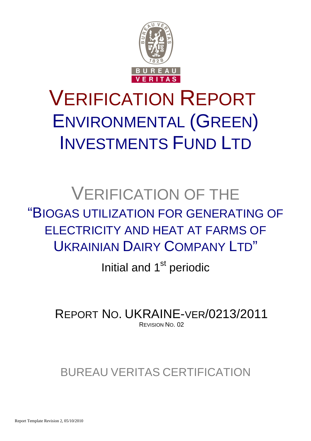

# VERIFICATION REPORT ENVIRONMENTAL (GREEN) INVESTMENTS FUND LTD

# VERIFICATION OF THE "BIOGAS UTILIZATION FOR GENERATING OF ELECTRICITY AND HEAT AT FARMS OF UKRAINIAN DAIRY COMPANY LTD"

Initial and 1<sup>st</sup> periodic

REPORT NO. UKRAINE-VER/0213/2011 REVISION NO. 02

BUREAU VERITAS CERTIFICATION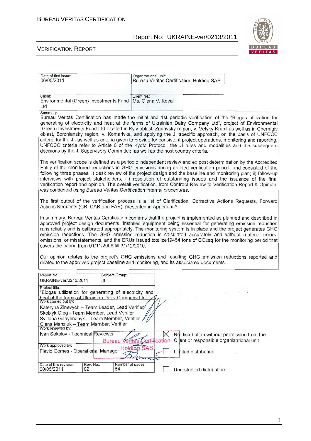

#### VERIFICATION REPORT

| Date of first issue:                                                                        | Organizational unit:                                                                                                                                                                                                           |
|---------------------------------------------------------------------------------------------|--------------------------------------------------------------------------------------------------------------------------------------------------------------------------------------------------------------------------------|
| 06/05/2011                                                                                  | <b>Bureau Veritas Certification Holding SAS</b>                                                                                                                                                                                |
|                                                                                             |                                                                                                                                                                                                                                |
| Client:<br>Environmental (Green) Investments Fund                                           | Client ref.:<br>Ms. Olena V. Koval                                                                                                                                                                                             |
| Ltd                                                                                         |                                                                                                                                                                                                                                |
| Summary:                                                                                    |                                                                                                                                                                                                                                |
|                                                                                             | Bureau Veritas Certification has made the initial and 1st periodic verification of the "Biogas utilization for                                                                                                                 |
|                                                                                             | generating of electricity and heat at the farms of Ukrainian Dairy Company Ltd", project of Environmental<br>(Green) Investments Fund Ltd located in Kyiv oblast, Zgurivsky region, v. Velyky Krupil as well as in Chernigiv   |
|                                                                                             | oblast, Borzniansky region, v. Komarivka, and applying the JI specific approach, on the basis of UNFCCC                                                                                                                        |
|                                                                                             | criteria for the JI, as well as criteria given to provide for consistent project operations, monitoring and reporting.                                                                                                         |
|                                                                                             | UNFCCC criteria refer to Article 6 of the Kyoto Protocol, the JI rules and modalities and the subsequent                                                                                                                       |
| decisions by the JI Supervisory Committee, as well as the host country criteria.            |                                                                                                                                                                                                                                |
|                                                                                             | The verification scope is defined as a periodic independent review and ex post determination by the Accredited                                                                                                                 |
|                                                                                             | Entity of the monitored reductions in GHG emissions during defined verification period, and consisted of the                                                                                                                   |
|                                                                                             | following three phases: i) desk review of the project design and the baseline and monitoring plan; ii) follow-up                                                                                                               |
|                                                                                             | interviews with project stakeholders; iii) resolution of outstanding issues and the issuance of the final<br>verification report and opinion. The overall verification, from Contract Review to Verification Report & Opinion, |
| was conducted using Bureau Veritas Certification internal procedures.                       |                                                                                                                                                                                                                                |
|                                                                                             |                                                                                                                                                                                                                                |
|                                                                                             | The first output of the verification process is a list of Clarification, Corrective Actions Requests, Forward                                                                                                                  |
| Actions Requests (CR, CAR and FAR), presented in Appendix A.                                |                                                                                                                                                                                                                                |
|                                                                                             | In summary, Bureau Veritas Certification confirms that the project is implemented as planned and described in                                                                                                                  |
|                                                                                             | approved project design documents. Installed equipment being essential for generating emission reduction                                                                                                                       |
|                                                                                             | runs reliably and is calibrated appropriately. The monitoring system is in place and the project generates GHG<br>emission reductions. The GHG emission reduction is calculated accurately and without material errors,        |
|                                                                                             | omissions, or misstatements, and the ERUs issued totalize19454 tons of CO2eq for the monitoring period that                                                                                                                    |
| covers the period from 01/11/2009 till 31/12/2010.                                          |                                                                                                                                                                                                                                |
|                                                                                             |                                                                                                                                                                                                                                |
|                                                                                             | Our opinion relates to the project's GHG emissions and resulting GHG emission reductions reported and<br>related to the approved project baseline and monitoring, and its associated documents.                                |
|                                                                                             |                                                                                                                                                                                                                                |
| Subject Group:<br>Report No.:                                                               |                                                                                                                                                                                                                                |
| UKRAINE-ver/0213/2011<br>JI                                                                 |                                                                                                                                                                                                                                |
| Project title:<br>"Biogas utilization for generating of electricity and                     |                                                                                                                                                                                                                                |
| heat at the farms of Ukrainian Dairy Company Ltd"                                           |                                                                                                                                                                                                                                |
| Work carried out by:                                                                        |                                                                                                                                                                                                                                |
| Kateryna Zinevych - Team Leader, Lead Verifier<br>Skoblyk Oleg - Team Member, Lead Verifier |                                                                                                                                                                                                                                |
|                                                                                             |                                                                                                                                                                                                                                |
|                                                                                             |                                                                                                                                                                                                                                |
| Svitlana Gariyenchyk - Team Member, Verifier<br>Olena Manziuk - Team Mamber, Verifier       |                                                                                                                                                                                                                                |
| Work reviewed by:                                                                           |                                                                                                                                                                                                                                |
| Ivan Sokolov - Technical Reviewer                                                           | $\times$<br>No distribution without permission from the                                                                                                                                                                        |
| <b>Bureau</b><br>Work approved by:                                                          | Client or responsible organizational unit<br>Certification                                                                                                                                                                     |
| Flavio Gomes - Operational Manager                                                          | <b>Holding SAS</b><br>Limited distribution                                                                                                                                                                                     |
|                                                                                             |                                                                                                                                                                                                                                |
| Date of this revision:<br>Rev. No.:<br>Number of pages:<br>30/05/2011<br>54<br>02           | Unrestricted distribution                                                                                                                                                                                                      |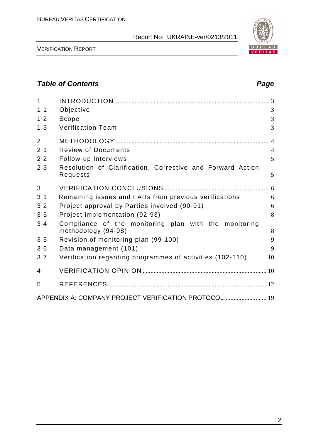

VERIFICATION REPORT

### **Table of Contents Page 2018**

| $\mathbf{1}$   |                                                                              |                |
|----------------|------------------------------------------------------------------------------|----------------|
| 1.1            | Objective                                                                    | 3              |
| 1.2            | Scope                                                                        | 3              |
| 1.3            | <b>Verification Team</b>                                                     | 3              |
| $\overline{2}$ |                                                                              |                |
| 2.1            | <b>Review of Documents</b>                                                   | $\overline{4}$ |
| 2.2            | Follow-up Interviews                                                         | 5              |
| 2.3            | Resolution of Clarification, Corrective and Forward Action<br>Requests       | 5              |
| 3              |                                                                              |                |
| 3.1            | Remaining issues and FARs from previous verifications                        | 6              |
| 3.2            | Project approval by Parties involved (90-91)                                 | 6              |
| 3.3            | Project implementation (92-93)                                               | 8              |
| 3.4            | Compliance of the monitoring plan with the monitoring<br>methodology (94-98) | 8              |
| 3.5            | Revision of monitoring plan (99-100)                                         | 9              |
| 3.6            | Data management (101)                                                        | 9              |
| 3.7            | Verification regarding programmes of activities (102-110)                    | 10             |
| 4              |                                                                              |                |
| 5              |                                                                              |                |
|                | APPENDIX A: COMPANY PROJECT VERIFICATION PROTOCOL 19                         |                |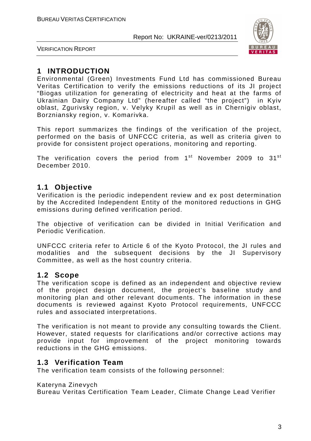

VERIFICATION REPORT

## **1 INTRODUCTION**

Environmental (Green) Investments Fund Ltd has commissioned Bureau Veritas Certification to verify the emissions reductions of its JI project "Biogas utilization for generating of electricity and heat at the farms of Ukrainian Dairy Company Ltd" (hereafter called "the project") in Kyiv oblast, Zgurivsky region, v. Velyky Krupil as well as in Chernigiv oblast, Borzniansky region, v. Komarivka.

This report summarizes the findings of the verification of the project, performed on the basis of UNFCCC criteria, as well as criteria given to provide for consistent project operations, monitoring and reporting.

The verification covers the period from  $1<sup>st</sup>$  November 2009 to 31 $<sup>st</sup>$ </sup> December 2010.

#### **1.1 Objective**

Verification is the periodic independent review and ex post determination by the Accredited Independent Entity of the monitored reductions in GHG emissions during defined verification period.

The objective of verification can be divided in Initial Verification and Periodic Verification.

UNFCCC criteria refer to Article 6 of the Kyoto Protocol, the JI rules and modalities and the subsequent decisions by the JI Supervisory Committee, as well as the host country criteria.

#### **1.2 Scope**

The verification scope is defined as an independent and objective review of the project design document, the project's baseline study and monitoring plan and other relevant documents. The information in these documents is reviewed against Kyoto Protocol requirements, UNFCCC rules and associated interpretations.

The verification is not meant to provide any consulting towards the Client. However, stated requests for clarifications and/or corrective actions may provide input for improvement of the project monitoring towards reductions in the GHG emissions.

#### **1.3 Verification Team**

The verification team consists of the following personnel:

#### Kateryna Zinevych

Bureau Veritas Certification Team Leader, Climate Change Lead Verifier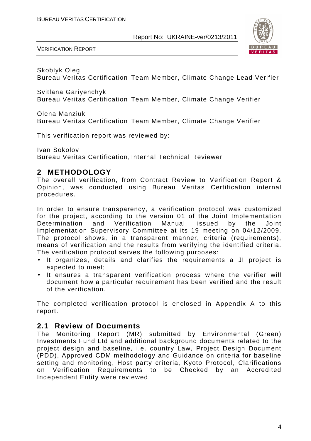

VERIFICATION REPORT

Skoblyk Oleg Bureau Veritas Certification Team Member, Climate Change Lead Verifier

Svitlana Gariyenchyk Bureau Veritas Certification Team Member, Climate Change Verifier

Olena Manziuk

Bureau Veritas Certification Team Member, Climate Change Verifier

This verification report was reviewed by:

Ivan Sokolov Bureau Veritas Certification, Internal Technical Reviewer

#### **2 METHODOLOGY**

The overall verification, from Contract Review to Verification Report & Opinion, was conducted using Bureau Veritas Certification internal procedures.

In order to ensure transparency, a verification protocol was customized for the project, according to the version 01 of the Joint Implementation Determination and Verification Manual, issued by the Joint Implementation Supervisory Committee at its 19 meeting on 04/12/2009. The protocol shows, in a transparent manner, criteria (requirements), means of verification and the results from verifying the identified criteria. The verification protocol serves the following purposes:

- It organizes, details and clarifies the requirements a JI project is expected to meet;
- It ensures a transparent verification process where the verifier will document how a particular requirement has been verified and the result of the verification.

The completed verification protocol is enclosed in Appendix A to this report.

#### **2.1 Review of Documents**

The Monitoring Report (MR) submitted by Environmental (Green) Investments Fund Ltd and additional background documents related to the project design and baseline, i.e. country Law, Project Design Document (PDD), Approved CDM methodology and Guidance on criteria for baseline setting and monitoring, Host party criteria, Kyoto Protocol, Clarifications on Verification Requirements to be Checked by an Accredited Independent Entity were reviewed.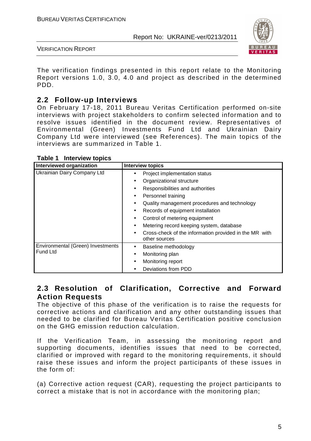

VERIFICATION REPORT

The verification findings presented in this report relate to the Monitoring Report versions 1.0, 3.0, 4.0 and project as described in the determined PDD.

#### **2.2 Follow-up Interviews**

On February 17-18, 2011 Bureau Veritas Certification performed on-site interviews with project stakeholders to confirm selected information and to resolve issues identified in the document review. Representatives of Environmental (Green) Investments Fund Ltd and Ukrainian Dairy Company Ltd were interviewed (see References). The main topics of the interviews are summarized in Table 1.

| Interviewed organization          | <b>Interview topics</b>                                                 |
|-----------------------------------|-------------------------------------------------------------------------|
| Ukrainian Dairy Company Ltd       | Project implementation status                                           |
|                                   | Organizational structure                                                |
|                                   | Responsibilities and authorities                                        |
|                                   | Personnel training                                                      |
|                                   | Quality management procedures and technology                            |
|                                   | Records of equipment installation                                       |
|                                   | Control of metering equipment                                           |
|                                   | Metering record keeping system, database<br>٠                           |
|                                   | Cross-check of the information provided in the MR with<br>other sources |
| Environmental (Green) Investments | Baseline methodology                                                    |
| <b>Fund Ltd</b>                   | Monitoring plan                                                         |
|                                   | Monitoring report                                                       |
|                                   | Deviations from PDD                                                     |

**Table 1 Interview topics** 

#### **2.3 Resolution of Clarification, Corrective and Forward Action Requests**

The objective of this phase of the verification is to raise the requests for corrective actions and clarification and any other outstanding issues that needed to be clarified for Bureau Veritas Certification positive conclusion on the GHG emission reduction calculation.

If the Verification Team, in assessing the monitoring report and supporting documents, identifies issues that need to be corrected, clarified or improved with regard to the monitoring requirements, it should raise these issues and inform the project participants of these issues in the form of:

(a) Corrective action request (CAR), requesting the project participants to correct a mistake that is not in accordance with the monitoring plan;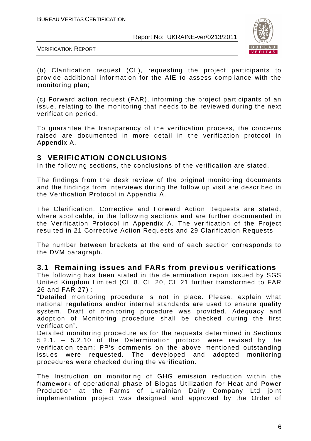

VERIFICATION REPORT

(b) Clarification request (CL), requesting the project participants to provide additional information for the AIE to assess compliance with the monitoring plan;

(c) Forward action request (FAR), informing the project participants of an issue, relating to the monitoring that needs to be reviewed during the next verification period.

To guarantee the transparency of the verification process, the concerns raised are documented in more detail in the verification protocol in Appendix A.

#### **3 VERIFICATION CONCLUSIONS**

In the following sections, the conclusions of the verification are stated.

The findings from the desk review of the original monitoring documents and the findings from interviews during the follow up visit are described in the Verification Protocol in Appendix A.

The Clarification, Corrective and Forward Action Requests are stated, where applicable, in the following sections and are further documented in the Verification Protocol in Appendix A. The verification of the Project resulted in 21 Corrective Action Requests and 29 Clarification Requests.

The number between brackets at the end of each section corresponds to the DVM paragraph.

#### **3.1 Remaining issues and FARs from previous verifications**

The following has been stated in the determination report issued by SGS United Kingdom Limited (CL 8, CL 20, CL 21 further transformed to FAR 26 and FAR 27) :

"Detailed monitoring procedure is not in place. Please, explain what national regulations and/or internal standards are used to ensure quality system. Draft of monitoring procedure was provided. Adequacy and adoption of Monitoring procedure shall be checked during the first verification".

Detailed monitoring procedure as for the requests determined in Sections 5.2.1. – 5.2.10 of the Determination protocol were revised by the verification team; PP's comments on the above mentioned outstanding issues were requested. The developed and adopted monitoring procedures were checked during the verification.

The Instruction on monitoring of GHG emission reduction within the framework of operational phase of Biogas Utilization for Heat and Power Production at the Farms of Ukrainian Dairy Company Ltd joint implementation project was designed and approved by the Order of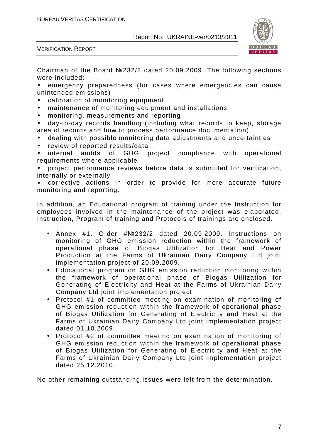

VERIFICATION REPORT

Chairman of the Board №232/2 dated 20.09.2009. The following sections were included:

• emergency preparedness (for cases where emergencies can cause unintended emissions)

- calibration of monitoring equipment
- maintenance of monitoring equipment and installations
- monitoring, measurements and reporting

• day-to-day records handling (including what records to keep, storage area of records and how to process performance documentation)

- dealing with possible monitoring data adjustments and uncertainties
- review of reported results/data

internal audits of GHG project compliance with operational requirements where applicable

• project performance reviews before data is submitted for verification, internally or externally

• corrective actions in order to provide for more accurate future monitoring and reporting.

In addition, an Educational program of training under the Instruction for employees involved in the maintenance of the project was elaborated. Instruction, Program of training and Protocols of trainings are enclosed.

- Annex #1. Order #№232/2 dated 20.09.2009. Instructions on monitoring of GHG emission reduction within the framework of operational phase of Biogas Utilization for Heat and Power Production at the Farms of Ukrainian Dairy Company Ltd joint implementation project of 20.09.2009.
- Educational program on GHG emission reduction monitoring within the framework of operational phase of Biogas Utilization for Generating of Electricity and Heat at the Farms of Ukrainian Dairy Company Ltd joint implementation project.
- Protocol #1 of committee meeting on examination of monitoring of GHG emission reduction within the framework of operational phase of Biogas Utilization for Generating of Electricity and Heat at the Farms of Ukrainian Dairy Company Ltd joint implementation project dated 01.10.2009.
- Protocol #2 of committee meeting on examination of monitoring of GHG emission reduction within the framework of operational phase of Biogas Utilization for Generating of Electricity and Heat at the Farms of Ukrainian Dairy Company Ltd joint implementation project dated 25.12.2010.

No other remaining outstanding issues were left from the determination.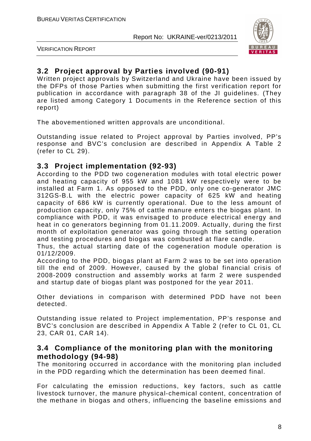

VERIFICATION REPORT

### **3.2 Project approval by Parties involved (90-91)**

Written project approvals by Switzerland and Ukraine have been issued by the DFPs of those Parties when submitting the first verification report for publication in accordance with paragraph 38 of the JI guidelines. (They are listed among Category 1 Documents in the Reference section of this report)

The abovementioned written approvals are unconditional.

Outstanding issue related to Project approval by Parties involved, PP's response and BVC's conclusion are described in Appendix A Table 2 (refer to CL 29).

#### **3.3 Project implementation (92-93)**

According to the PDD two cogeneration modules with total electric power and heating capacity of 955 kW and 1081 kW respectively were to be installed at Farm 1. As opposed to the PDD, only one co-generator JMC 312GS-B.L with the electric power capacity of 625 kW and heating capacity of 686 kW is currently operational. Due to the less amount of production capacity, only 75% of cattle manure enters the biogas plant. In compliance with PDD, it was envisaged to produce electrical energy and heat in co generators beginning from 01.11.2009. Actually, during the first month of exploitation generator was going through the setting operation and testing procedures and biogas was combusted at flare candle.

Thus, the actual starting date of the cogeneration module operation is 01/12/2009.

According to the PDD, biogas plant at Farm 2 was to be set into operation till the end of 2009. However, caused by the global financial crisis of 2008-2009 construction and assembly works at farm 2 were suspended and startup date of biogas plant was postponed for the year 2011.

Other deviations in comparison with determined PDD have not been detected.

Outstanding issue related to Project implementation, PP's response and BVC's conclusion are described in Appendix A Table 2 (refer to CL 01, CL 23, CAR 01, CAR 14).

#### **3.4 Compliance of the monitoring plan with the monitoring methodology (94-98)**

The monitoring occurred in accordance with the monitoring plan included in the PDD regarding which the determination has been deemed final.

For calculating the emission reductions, key factors, such as cattle livestock turnover, the manure physical-chemical content, concentration of the methane in biogas and others, influencing the baseline emissions and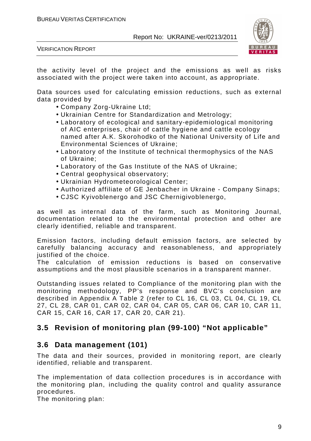

VERIFICATION REPORT

the activity level of the project and the emissions as well as risks associated with the project were taken into account, as appropriate.

Data sources used for calculating emission reductions, such as external data provided by

- Company Zorg-Ukraine Ltd;
- Ukrainian Centre for Standardization and Metrology;
- Laboratory of ecological and sanitary-epidemiological monitoring of AIC enterprises, chair of cattle hygiene and cattle ecology named after A.K. Skorohodko of the National University of Life and Environmental Sciences of Ukraine;
- Laboratory of the Institute of technical thermophysics of the NAS of Ukraine;
- Laboratory of the Gas Institute of the NAS of Ukraine;
- Central geophysical observatory;
- Ukrainian Hydrometeorological Center;
- Authorized affiliate of GE Jenbacher in Ukraine Company Sinaps;
- CJSC Kyivoblenergo and JSC Chernigivoblenergo,

as well as internal data of the farm, such as Monitoring Journal, documentation related to the environmental protection and other are clearly identified, reliable and transparent.

Emission factors, including default emission factors, are selected by carefully balancing accuracy and reasonableness, and appropriately justified of the choice.

The calculation of emission reductions is based on conservative assumptions and the most plausible scenarios in a transparent manner.

Outstanding issues related to Compliance of the monitoring plan with the monitoring methodology, PP's response and BVC's conclusion are described in Appendix A Table 2 (refer to CL 16, CL 03, CL 04, CL 19, CL 27, CL 28, CAR 01, CAR 02, CAR 04, CAR 05, CAR 06, CAR 10, CAR 11, CAR 15, CAR 16, CAR 17, CAR 20, CAR 21).

#### **3.5 Revision of monitoring plan (99-100) "Not applicable"**

#### **3.6 Data management (101)**

The data and their sources, provided in monitoring report, are clearly identified, reliable and transparent.

The implementation of data collection procedures is in accordance with the monitoring plan, including the quality control and quality assurance procedures.

The monitoring plan: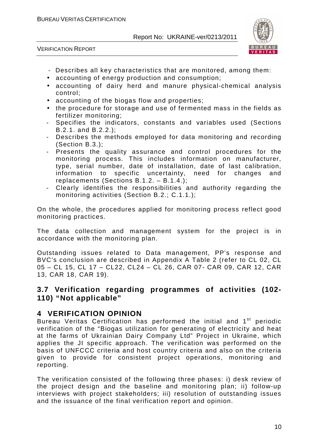

VERIFICATION REPORT

- Describes all key characteristics that are monitored, among them:
- accounting of energy production and consumption;
- accounting of dairy herd and manure physical-chemical analysis control;
- accounting of the biogas flow and properties;
- the procedure for storage and use of fermented mass in the fields as fertilizer monitoring;
- Specifies the indicators, constants and variables used (Sections B.2.1. and B.2.2.);
- Describes the methods employed for data monitoring and recording (Section B.3.);
- Presents the quality assurance and control procedures for the monitoring process. This includes information on manufacturer, type, serial number, date of installation, date of last calibration, information to specific uncertainty, need for changes and replacements (Sections B.1.2. – B.1.4.);
- Clearly identifies the responsibilities and authority regarding the monitoring activities (Section B.2.; C.1.1.);

On the whole, the procedures applied for monitoring process reflect good monitoring practices.

The data collection and management system for the project is in accordance with the monitoring plan.

Outstanding issues related to Data management, PP's response and BVC's conclusion are described in Appendix A Table 2 (refer to CL 02, CL 05 – CL 15, CL 17 – CL22, CL24 – CL 26, CAR 07- CAR 09, CAR 12, CAR 13, CAR 18, CAR 19).

#### **3.7 Verification regarding programmes of activities (102- 110) "Not applicable"**

#### **4 VERIFICATION OPINION**

Bureau Veritas Certification has performed the initial and 1<sup>st</sup> periodic verification of the "Biogas utilization for generating of electricity and heat at the farms of Ukrainian Dairy Company Ltd" Project in Ukraine, which applies the JI specific approach. The verification was performed on the basis of UNFCCC criteria and host country criteria and also on the criteria given to provide for consistent project operations, monitoring and reporting.

The verification consisted of the following three phases: i) desk review of the project design and the baseline and monitoring plan; ii) follow-up interviews with project stakeholders; iii) resolution of outstanding issues and the issuance of the final verification report and opinion.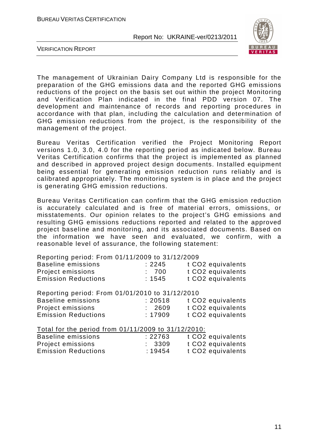

VERIFICATION REPORT

The management of Ukrainian Dairy Company Ltd is responsible for the preparation of the GHG emissions data and the reported GHG emissions reductions of the project on the basis set out within the project Monitoring and Verification Plan indicated in the final PDD version 07. The development and maintenance of records and reporting procedures in accordance with that plan, including the calculation and determination of GHG emission reductions from the project, is the responsibility of the management of the project.

Bureau Veritas Certification verified the Project Monitoring Report versions 1.0, 3.0, 4.0 for the reporting period as indicated below. Bureau Veritas Certification confirms that the project is implemented as planned and described in approved project design documents. Installed equipment being essential for generating emission reduction runs reliably and is calibrated appropriately. The monitoring system is in place and the project is generating GHG emission reductions.

Bureau Veritas Certification can confirm that the GHG emission reduction is accurately calculated and is free of material errors, omissions, or misstatements. Our opinion relates to the project's GHG emissions and resulting GHG emissions reductions reported and related to the approved project baseline and monitoring, and its associated documents. Based on the information we have seen and evaluated, we confirm, with a reasonable level of assurance, the following statement:

#### Reporting period: From 01/11/2009 to 31/12/2009

| Baseline emissions         | :2245 | t CO2 equivalents |
|----------------------------|-------|-------------------|
| Project emissions          | : 700 | t CO2 equivalents |
| <b>Emission Reductions</b> | :1545 | t CO2 equivalents |

Reporting period: From 01/01/2010 to 31/12/2010

| Baseline emissions         | :20518 | t CO2 equivalents |
|----------------------------|--------|-------------------|
| Project emissions          | : 2609 | t CO2 equivalents |
| <b>Emission Reductions</b> | :17909 | t CO2 equivalents |

Total for the period from 01/11/2009 to 31/12/2010:

| : 22763 | t CO2 equivalents |
|---------|-------------------|
| : 3309  | t CO2 equivalents |
| : 19454 | t CO2 equivalents |
|         |                   |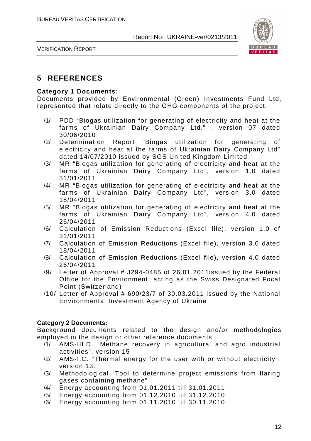

VERIFICATION REPORT

### **5 REFERENCES**

#### **Category 1 Documents:**

Documents provided by Environmental (Green) Investments Fund Ltd, represented that relate directly to the GHG components of the project.

- /1/ PDD "Biogas utilization for generating of electricity and heat at the farms of Ukrainian Dairy Company Ltd." , version 07 dated 30/06/2010
- /2/ Determination Report "Biogas utilization for generating of electricity and heat at the farms of Ukrainian Dairy Company Ltd" dated 14/07/2010 issued by SGS United Kingdom Limited
- /3/ MR "Biogas utilization for generating of electricity and heat at the farms of Ukrainian Dairy Company Ltd", version 1.0 dated 31/01/2011
- /4/ MR "Biogas utilization for generating of electricity and heat at the farms of Ukrainian Dairy Company Ltd", version 3.0 dated 18/04/2011
- /5/ MR "Biogas utilization for generating of electricity and heat at the farms of Ukrainian Dairy Company Ltd", version 4.0 dated 26/04/2011
- /6/ Calculation of Emission Reductions (Excel file), version 1.0 of 31/01/2011
- /7/ Calculation of Emission Reductions (Excel file), version 3.0 dated 18/04/2011
- /8/ Calculation of Emission Reductions (Excel file), version 4.0 dated 26/04/2011
- /9/ Letter of Approval # J294-0485 of 26.01.2011issued by the Federal Office for the Environment, acting as the Swiss Designated Focal Point (Switzerland)
- $/10/$  Letter of Approval # 690/23/7 of 30.03.2011 issued by the National Environmental Investment Agency of Ukraine

#### **Category 2 Documents:**

Background documents related to the design and/or methodologies employed in the design or other reference documents.

- /1/ AMS-III.D. "Methane recovery in agricultural and agro industrial activities", version 15
- /2/ AMS-I.C. "Thermal energy for the user with or without electricity", version 13.
- /3/ Methodological "Tool to determine project emissions from flaring gases containing methane"
- /4/ Energy accounting from 01.01.2011 till 31.01.2011
- /5/ Energy accounting from 01.12.2010 till 31.12.2010
- /6/ Energy accounting from 01.11.2010 till 30.11.2010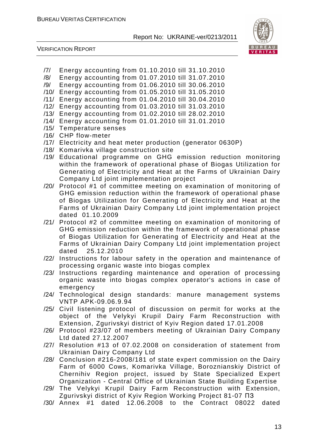

VERIFICATION REPORT

- /7/ Energy accounting from 01.10.2010 till 31.10.2010
- /8/ Energy accounting from 01.07.2010 till 31.07.2010 /9/ Energy accounting from 01.06.2010 till 30.06.2010
- /10/ Energy accounting from 01.05.2010 till 31.05.2010
- /11/ Energy accounting from 01.04.2010 till 30.04.2010
- /12/ Energy accounting from 01.03.2010 till 31.03.2010
- /13/ Energy accounting from 01.02.2010 till 28.02.2010
- /14/ Energy accounting from 01.01.2010 till 31.01.2010
- /15/ Temperature senses
- /16/ CHP flow-meter
- /17/ Electricity and heat meter production (generator 0630P)
- /18/ Komarivka village construction site
- /19/ Educational programme on GHG emission reduction monitoring within the framework of operational phase of Biogas Utilization for Generating of Electricity and Heat at the Farms of Ukrainian Dairy Company Ltd joint implementation project
- /20/ Protocol #1 of committee meeting on examination of monitoring of GHG emission reduction within the framework of operational phase of Biogas Utilization for Generating of Electricity and Heat at the Farms of Ukrainian Dairy Company Ltd joint implementation project dated 01.10.2009
- /21/ Protocol #2 of committee meeting on examination of monitoring of GHG emission reduction within the framework of operational phase of Biogas Utilization for Generating of Electricity and Heat at the Farms of Ukrainian Dairy Company Ltd joint implementation project dated 25.12.2010
- /22/ Instructions for labour safety in the operation and maintenance of processing organic waste into biogas complex
- /23/ Instructions regarding maintenance and operation of processing organic waste into biogas complex operator's actions in case of emergency
- /24/ Technological design standards: manure management systems VNTP APK-09.06.9.94
- /25/ Civil listening protocol of discussion on permit for works at the object of the Velykyi Krupil Dairy Farm Reconstruction with Extension, Zgurivskyi district of Kyiv Region dated 17.01.2008
- /26/ Protocol #23/07 of members meeting of Ukrainian Dairy Company Ltd dated 27.12.2007
- /27/ Resolution #13 of 07.02.2008 on consideration of statement from Ukrainian Dairy Company Ltd
- /28/ Conclusion #216-2008/181 of state expert commission on the Dairy Farm of 6000 Cows, Komarivka Village, Boroznianskiy District of Chernihiv Region project, issued by State Specialized Expert Organization - Central Office of Ukrainian State Building Expertise
- /29/ The Velykyi Krupil Dairy Farm Reconstruction with Extension, Zgurivskyi district of Kyiv Region Working Project 81-07 ПЗ
- /30/ Annex #1 dated 12.06.2008 to the Contract 08022 dated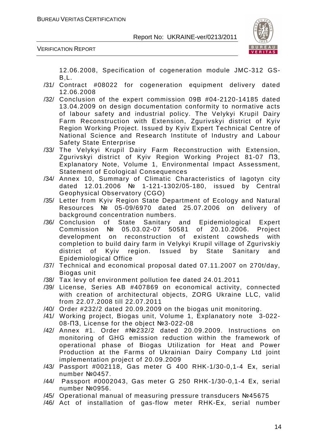

VERIFICATION REPORT

12.06.2008, Specification of cogeneration module JMC-312 GS-B,L.

- /31/ Contract #08022 for cogeneration equipment delivery dated 12.06.2008
- /32/ Conclusion of the expert commission 09B #04-2120-14185 dated 13.04.2009 on design documentation conformity to normative acts of labour safety and industrial policy. The Velykyi Krupil Dairy Farm Reconstruction with Extension, Zgurivskyi district of Kyiv Region Working Project. Issued by Kyiv Expert Technical Centre of National Science and Research Institute of Industry and Labour Safety State Enterprise
- /33/ The Velykyi Krupil Dairy Farm Reconstruction with Extension, Zgurivskyi district of Kyiv Region Working Project 81-07 ПЗ, Explanatory Note, Volume 1, Environmental Impact Assessment, Statement of Ecological Consequences
- /34/ Annex 10, Summary of Climatic Characteristics of Iagotyn city dated 12.01.2006 № 1-121-1302/05-180, issued by Central Geophysical Observatory (CGO)
- /35/ Letter from Kyiv Region State Department of Ecology and Natural Resources № 05-09/6970 dated 25.07.2006 on delivery of background concentration numbers.
- /36/ Conclusion of State Sanitary and Epidemiological Expert Commission № 05.03.02-07 50581 of 20.10.2006. Project development on reconstruction of existent cowsheds with completion to build dairy farm in Velykyi Krupil village of Zgurivskiy district of Kyiv region. Issued by State Sanitary and Epidemiological Office
- /37/ Technical and economical proposal dated 07.11.2007 on 270t/day, Biogas unit
- /38/ Tax levy of environment pollution fee dated 24.01.2011
- /39/ License, Series AB #407869 on economical activity, connected with creation of architectural objects, ZORG Ukraine LLC, valid from 22.07.2008 till 22.07.2011
- /40/ Order #232/2 dated 20.09.2009 on the biogas unit monitoring.
- /41/ Working project, Biogas unit, Volume 1, Explanatory note 3-022- 08-ПЗ, License for the object №3-022-08
- /42/ Annex #1. Order #№232/2 dated 20.09.2009. Instructions on monitoring of GHG emission reduction within the framework of operational phase of Biogas Utilization for Heat and Power Production at the Farms of Ukrainian Dairy Company Ltd joint implementation project of 20.09.2009
- /43/ Passport #002118, Gas meter G 400 RHK-1/30-0,1-4 Ех, serial number №0457.
- /44/ Passport #0002043, Gas meter G 250 RHK-1/30-0,1-4 Ех, serial number №0956.
- /45/ Operational manual of measuring pressure transducers №45675
- /46/ Act of installation of gas-flow meter RHK-Ех, serial number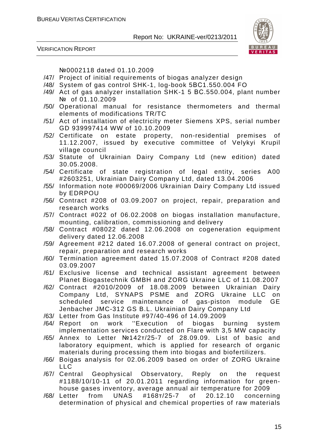



№0002118 dated 01.10.2009

- /47/ Project of initial requirements of biogas analyzer design
- /48/ System of gas control SHK-1, log-book 5ВС1.550.004 FO
- /49/ Act of gas analyzer installation SHK-1 5 ВС.550.004, plant number № of 01.10.2009
- /50/ Operational manual for resistance thermometers and thermal elements of modifications TR/TC
- /51/ Act of installation of electricity meter Siemens XPS, serial number GD 939997414 WW of 10.10.2009
- /52/ Certificate on estate property, non-residential premises of 11.12.2007, issued by executive committee of Velykyi Krupil village council
- /53/ Statute of Ukrainian Dairy Company Ltd (new edition) dated 30.05.2008.
- /54/ Certificate of state registration of legal entity, series A00 #2603251, Ukrainian Dairy Company Ltd, dated 13.04.2006
- /55/ Information note #00069/2006 Ukrainian Dairy Company Ltd issued by EDRPOU
- /56/ Contract #208 of 03.09.2007 on project, repair, preparation and research works
- /57/ Contract #022 of 06.02.2008 on biogas installation manufacture, mounting, calibration, commissioning and delivery
- /58/ Contract #08022 dated 12.06.2008 on cogeneration equipment delivery dated 12.06.2008
- /59/ Agreement #212 dated 16.07.2008 of general contract on project, repair, preparation and research works
- /60/ Termination agreement dated 15.07.2008 of Contract #208 dated 03.09.2007
- /61/ Exclusive license and technical assistant agreement between Planet Biogastechnik GMBH and ZORG Ukraine LLC of 11.08.2007
- /62/ Contract #2010/2009 of 18.08.2009 between Ukrainian Dairy Company Ltd, SYNAPS PSME and ZORG Ukraine LLC on scheduled service maintenance of gas-piston module GE Jenbacher JMC-312 GS B.L. Ukrainian Dairy Company Ltd
- /63/ Letter from Gas Institute #97/40-496 of 14.09.2009
- /64/ Report on work ''Execution of biogas burning system implementation services conducted on Flare with 3,5 MW capacity
- /65/ Annex to Letter №142т/25-7 of 28.09.09. List of basic and laboratory equipment, which is applied for research of organic materials during processing them into biogas and biofertilizers.
- /66/ Boigas analysis for 02.06.2009 based on order of ZORG Ukraine LLC
- /67/ Central Geophysical Observatory, Reply on the request #1188/10/10-11 of 20.01.2011 regarding information for greenhouse gases inventory, average annual air temperature for 2009
- /68/ Letter from UNAS #168т/25-7 of 20.12.10 concerning determination of physical and chemical properties of raw materials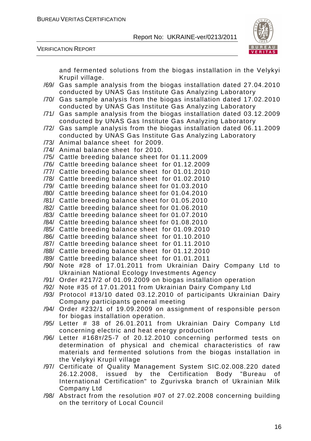VERIFICATION REPORT



and fermented solutions from the biogas installation in the Velykyi Krupil village.

- /69/ Gas sample analysis from the biogas installation dated 27.04.2010 conducted by UNAS Gas Institute Gas Analyzing Laboratory
- /70/ Gas sample analysis from the biogas installation dated 17.02.2010 conducted by UNAS Gas Institute Gas Analyzing Laboratory
- /71/ Gas sample analysis from the biogas installation dated 03.12.2009 conducted by UNAS Gas Institute Gas Analyzing Laboratory
- /72/ Gas sample analysis from the biogas installation dated 06.11.2009 conducted by UNAS Gas Institute Gas Analyzing Laboratory
- /73/ Animal balance sheet for 2009.
- /74/ Animal balance sheet for 2010.
- /75/ Cattle breeding balance sheet for 01.11.2009
- /76/ Cattle breeding balance sheet for 01.12.2009
- /77/ Cattle breeding balance sheet for 01.01.2010
- /78/ Cattle breeding balance sheet for 01.02.2010
- /79/ Cattle breeding balance sheet for 01.03.2010
- /80/ Cattle breeding balance sheet for 01.04.2010
- /81/ Cattle breeding balance sheet for 01.05.2010
- /82/ Cattle breeding balance sheet for 01.06.2010
- /83/ Cattle breeding balance sheet for 01.07.2010
- /84/ Cattle breeding balance sheet for 01.08.2010
- /85/ Cattle breeding balance sheet for 01.09.2010
- /86/ Cattle breeding balance sheet for 01.10.2010
- /87/ Cattle breeding balance sheet for 01.11.2010
- /88/ Cattle breeding balance sheet for 01.12.2010
- /89/ Cattle breeding balance sheet for 01.01.2011
- /90/ Note #28 of 17.01.2011 from Ukrainian Dairy Company Ltd to Ukrainian National Ecology Investments Agency
- /91/ Order #217/2 of 01.09.2009 on biogas installation operation
- /92/ Note #35 of 17.01.2011 from Ukrainian Dairy Company Ltd
- /93/ Protocol #13/10 dated 03.12.2010 of participants Ukrainian Dairy Company participants general meeting
- /94/ Order #232/1 of 19.09.2009 on assignment of responsible person for biogas installation operation.
- /95/ Letter # 38 of 26.01.2011 from Ukrainian Dairy Company Ltd concerning electric and heat energy production
- /96/ Letter #168т/25-7 of 20.12.2010 concerning performed tests on determination of physical and chemical characteristics of raw materials and fermented solutions from the biogas installation in the Velykyi Krupil village
- /97/ Certificate of Quality Management System SIC.02.008.220 dated 26.12.2008, issued by the Certification Body "Bureau of International Certification" to Zgurivska branch of Ukrainian Milk Company Ltd
- /98/ Abstract from the resolution #07 of 27.02.2008 concerning building on the territory of Local Council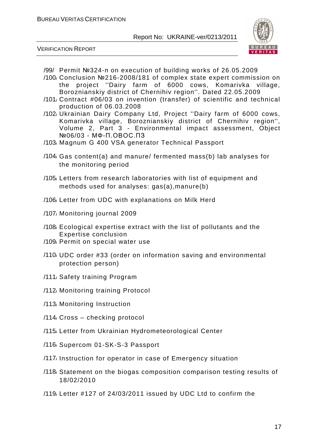

VERIFICATION REPORT

- /99/ Permit №324-п on execution of building works of 26.05.2009
- /100/ Conclusion №216-2008/181 of complex state expert commission on the project ''Dairy farm of 6000 cows, Komarivka village, Boroznianskiy district of Chernihiv region''. Dated 22.05.2009
- /101/ Contract #06/03 on invention (transfer) of scientific and technical production of 06.03.2008
- /102/ Ukrainian Dairy Company Ltd, Project ''Dairy farm of 6000 cows, Komarivka village, Boroznianskiy district of Chernihiv region'', Volume 2, Part 3 - Environmental impact assessment, Object №06/03 - МФ-П.ОВОС.ПЗ
- /103/ Magnum G 400 VSA generator Technical Passport
- /104/ Gas content(a) and manure/ fermented mass(b) lab analyses for the monitoring period
- /105/ Letters from research laboratories with list of equipment and methods used for analyses: gas(a),manure(b)
- /106/ Letter from UDC with explanations on Milk Herd
- /107/ Monitoring journal 2009
- /108/ Ecological expertise extract with the list of pollutants and the Expertise conclusion
- /109/ Permit on special water use
- /110/ UDC order #33 (order on information saving and environmental protection person)
- /111/ Safety training Program
- /112/ Monitoring training Protocol
- /113/ Monitoring Instruction
- /114/ Cross checking protocol
- /115/ Letter from Ukrainian Hydrometeorological Center
- /116/ Supercom 01-SK-S-3 Passport
- /117/ Instruction for operator in case of Emergency situation
- /118/ Statement on the biogas composition comparison testing results of 18/02/2010
- /119/ Letter #127 of 24/03/2011 issued by UDC Ltd to confirm the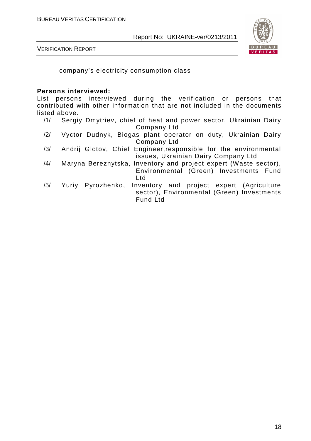

VERIFICATION REPORT

company's electricity consumption class

#### **Persons interviewed:**

List persons interviewed during the verification or persons that contributed with other information that are not included in the documents listed above.

- /1/ Sergiy Dmytriev, chief of heat and power sector, Ukrainian Dairy Company Ltd
- /2/ Vyctor Dudnyk, Biogas plant operator on duty, Ukrainian Dairy Company Ltd
- /3/ Andrij Glotov, Chief Engineer,responsible for the environmental issues, Ukrainian Dairy Company Ltd
- /4/ Maryna Bereznytska, Inventory and project expert (Waste sector), Environmental (Green) Investments Fund Ltd
- /5/ Yuriy Pyrozhenko, Inventory and project expert (Agriculture sector), Environmental (Green) Investments Fund Ltd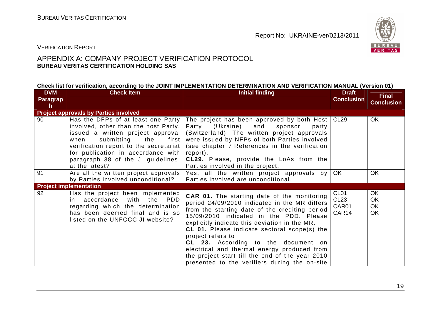

#### VERIFICATION REPORT

#### APPENDIX A: COMPANY PROJECT VERIFICATION PROTOCOL **BUREAU VERITAS CERTIFICATION HOLDING SAS**

#### **Check list for verification, according to the JOINT IMPLEMENTATION DETERMINATION AND VERIFICATION MANUAL (Version 01)**

| <b>DVM</b>                  | <b>Check Item</b>                                                                                                                                                                                                                                                                             | <b>Initial finding</b>                                                                                                                                                                                                                                                                                                                                                                                                                                                                                                  | <b>Draft</b>                                           | <b>Final</b>                              |
|-----------------------------|-----------------------------------------------------------------------------------------------------------------------------------------------------------------------------------------------------------------------------------------------------------------------------------------------|-------------------------------------------------------------------------------------------------------------------------------------------------------------------------------------------------------------------------------------------------------------------------------------------------------------------------------------------------------------------------------------------------------------------------------------------------------------------------------------------------------------------------|--------------------------------------------------------|-------------------------------------------|
| <b>Paragrap</b><br><b>h</b> |                                                                                                                                                                                                                                                                                               |                                                                                                                                                                                                                                                                                                                                                                                                                                                                                                                         | <b>Conclusion</b>                                      | <b>Conclusion</b>                         |
|                             | <b>Project approvals by Parties involved</b>                                                                                                                                                                                                                                                  |                                                                                                                                                                                                                                                                                                                                                                                                                                                                                                                         |                                                        |                                           |
| 90                          | Has the DFPs of at least one Party<br>involved, other than the host Party,<br>issued a written project approval<br>when<br>submitting<br>the<br>first<br>verification report to the secretariat<br>for publication in accordance with<br>paragraph 38 of the JI guidelines,<br>at the latest? | The project has been approved by both Host   CL29<br>Party (Ukraine) and<br>sponsor<br>party<br>(Switzerland). The written project approvals<br>were issued by NFPs of both Parties involved<br>(see chapter 7 References in the verification<br>report).<br><b>CL29.</b> Please, provide the LoAs from the<br>Parties involved in the project.                                                                                                                                                                         |                                                        | OK                                        |
| 91                          | Are all the written project approvals<br>by Parties involved unconditional?                                                                                                                                                                                                                   | Yes, all the written project approvals by<br>Parties involved are unconditional.                                                                                                                                                                                                                                                                                                                                                                                                                                        | OK.                                                    | OK                                        |
|                             | <b>Project implementation</b>                                                                                                                                                                                                                                                                 |                                                                                                                                                                                                                                                                                                                                                                                                                                                                                                                         |                                                        |                                           |
| 92                          | Has the project been implemented<br><b>PDD</b><br>with the<br>accordance<br>in.<br>regarding which the determination<br>has been deemed final and is so<br>listed on the UNFCCC JI website?                                                                                                   | <b>CAR 01.</b> The starting date of the monitoring<br>period 24/09/2010 indicated in the MR differs<br>from the starting date of the crediting period<br>15/09/2010 indicated in the PDD. Please<br>explicitly indicate this deviation in the MR.<br><b>CL 01.</b> Please indicate sectoral scope(s) the<br>project refers to<br>CL 23. According to the document on<br>electrical and thermal energy produced from<br>the project start till the end of the year 2010<br>presented to the verifiers during the on-site | CL <sub>01</sub><br>CL <sub>23</sub><br>CAR01<br>CAR14 | OK<br><b>OK</b><br><b>OK</b><br><b>OK</b> |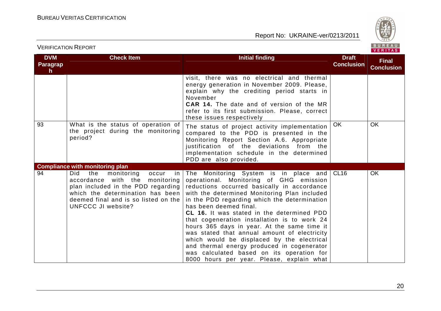

#### VERIFICATION REPORT

| <b>DVM</b><br>Paragrap<br>h | <b>Check Item</b>                                                                                                                                                                                                          | <b>Initial finding</b>                                                                                                                                                                                                                                                                                                                                                                                                                                                                                                                                                                                                                            | <b>Draft</b><br><b>Conclusion</b> | <b>Final</b><br><b>Conclusion</b> |
|-----------------------------|----------------------------------------------------------------------------------------------------------------------------------------------------------------------------------------------------------------------------|---------------------------------------------------------------------------------------------------------------------------------------------------------------------------------------------------------------------------------------------------------------------------------------------------------------------------------------------------------------------------------------------------------------------------------------------------------------------------------------------------------------------------------------------------------------------------------------------------------------------------------------------------|-----------------------------------|-----------------------------------|
|                             |                                                                                                                                                                                                                            | visit, there was no electrical and thermal<br>energy generation in November 2009. Please,<br>explain why the crediting period starts in<br>November<br>CAR 14. The date and of version of the MR<br>refer to its first submission. Please, correct<br>these issues respectively                                                                                                                                                                                                                                                                                                                                                                   |                                   |                                   |
| 93                          | What is the status of operation of<br>the project during the monitoring<br>period?                                                                                                                                         | The status of project activity implementation<br>compared to the PDD is presented in the<br>Monitoring Report Section A.6. Appropriate<br>justification of the deviations from the<br>implementation schedule in the determined<br>PDD are also provided.                                                                                                                                                                                                                                                                                                                                                                                         | <b>OK</b>                         | <b>OK</b>                         |
|                             | <b>Compliance with monitoring plan</b>                                                                                                                                                                                     |                                                                                                                                                                                                                                                                                                                                                                                                                                                                                                                                                                                                                                                   |                                   |                                   |
| 94                          | Did<br>the<br>monitoring<br>in I<br>occur<br>accordance with the monitoring<br>plan included in the PDD regarding<br>which the determination has been<br>deemed final and is so listed on the<br><b>UNFCCC JI website?</b> | The Monitoring System is in place and CL16<br>operational. Monitoring of GHG emission<br>reductions occurred basically in accordance<br>with the determined Monitoring Plan included<br>in the PDD regarding which the determination<br>has been deemed final.<br>CL 16. It was stated in the determined PDD<br>that cogeneration installation is to work 24<br>hours 365 days in year. At the same time it<br>was stated that annual amount of electricity<br>which would be displaced by the electrical<br>and thermal energy produced in cogenerator<br>was calculated based on its operation for<br>8000 hours per year. Please, explain what |                                   | OK                                |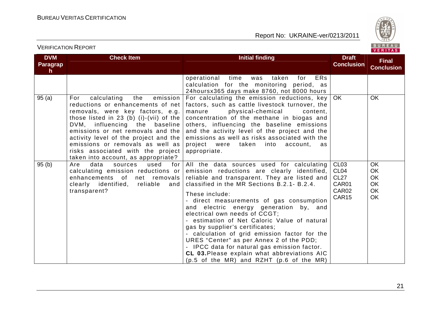VERIFICATION REPORT

Report No: UKRAINE-ver/0213/2011



#### **DVM Paragraph Check Item Initial finding Check Item Initial finding Check Item Initial finding Check Item Initial finding Check Item Initial finding Check Item Initial finding Check Item Initial finding Check Item Initial finding Check Conclusion Final Conclusion**operational time was taken for ERs calculation for the monitoring period, as 24hoursx365 days make 8760, not 8000 hours For calculating the emission reductions, key 95 (a) For calculating the emission reductions or enhancements of net factors, such as cattle livestock turnover, the removals, were key factors, e.g. those listed in 23 (b) (i)-(vii) of the DVM, influencing the baseline emissions or net removals and the activity level of the project and the emissions or removals as well as risks associated with the project taken into account, as appropriate? content. manure physical-chemical concentration of the methane in biogas and others, influencing the baseline emissions and the activity level of the project and the emissions as well as risks associated with the project were taken into account, as appropriate. OK OK 95 (b) Are data sources used for calculating emission reductions or enhancements of net removals clearly identified, reliable and transparent? All the data sources used for calculating emission reductions are clearly identified, reliable and transparent. They are listed and classified in the MR Sections B.2.1- B.2.4. These include: - direct measurements of gas consumption and electric energy generation by, and electrical own needs of CCGT; - estimation of Net Caloric Value of natural gas by supplier's certificates; - calculation of grid emission factor for the URES "Center" as per Annex 2 of the PDD; - IPCC data for natural gas emission factor. **CL 03.**Please explain what abbreviations AIC (p.5 of the MR) and RZHT (p.6 of the MR) CL03 CL04 CL27 CAR01 CAR02 CAR15 **OK**  OK OK OK OK OK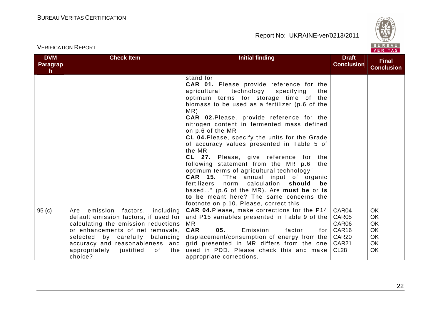

| <b>DVM</b><br><b>Paragrap</b> | <b>Check Item</b>                                                                                                                                                                                                                                                                         | <b>Initial finding</b>                                                                                                                                                                                                                                                                                                                                                                                                                                                                                                                                                                                                                                                                                                                                                                                    | <b>Draft</b><br><b>Conclusion</b>                                                              | <b>Final</b><br><b>Conclusion</b>                                  |
|-------------------------------|-------------------------------------------------------------------------------------------------------------------------------------------------------------------------------------------------------------------------------------------------------------------------------------------|-----------------------------------------------------------------------------------------------------------------------------------------------------------------------------------------------------------------------------------------------------------------------------------------------------------------------------------------------------------------------------------------------------------------------------------------------------------------------------------------------------------------------------------------------------------------------------------------------------------------------------------------------------------------------------------------------------------------------------------------------------------------------------------------------------------|------------------------------------------------------------------------------------------------|--------------------------------------------------------------------|
| h                             |                                                                                                                                                                                                                                                                                           | stand for<br>CAR 01. Please provide reference for the<br>technology<br>agricultural<br>specifying<br>the<br>optimum terms for storage time of the<br>biomass to be used as a fertilizer (p.6 of the<br>MR)<br>CAR 02. Please, provide reference for the<br>nitrogen content in fermented mass defined<br>on p.6 of the MR<br>CL 04. Please, specify the units for the Grade<br>of accuracy values presented in Table 5 of<br>the MR<br>CL 27. Please, give reference for the<br>following statement from the MR p.6 "the<br>optimum terms of agricultural technology"<br><b>CAR 15.</b> "The annual input of organic<br>calculation<br>fertilizers<br>norm<br>should be<br>based" (p.6 of the MR). Are must be or is<br>to be meant here? The same concerns the<br>footnote on p.10. Please, correct this |                                                                                                |                                                                    |
| 95(c)                         | emission<br>including<br>factors,<br>Are<br>default emission factors, if used for<br>calculating the emission reductions<br>or enhancements of net removals,<br>selected by carefully balancing<br>accuracy and reasonableness, and<br>appropriately<br>justified<br>of<br>the<br>choice? | <b>CAR 04. Please, make corrections for the P14</b><br>and P15 variables presented in Table 9 of the<br><b>MR</b><br><b>CAR</b><br>05.<br>Emission<br>factor<br>for<br>displacement/consumption of energy from the<br>grid presented in MR differs from the one<br>used in PDD. Please check this and make<br>appropriate corrections.                                                                                                                                                                                                                                                                                                                                                                                                                                                                    | CAR04<br>CAR05<br>CAR06<br>CAR <sub>16</sub><br>CAR <sub>20</sub><br>CAR21<br>CL <sub>28</sub> | <b>OK</b><br><b>OK</b><br><b>OK</b><br><b>OK</b><br>OK<br>OK<br>OK |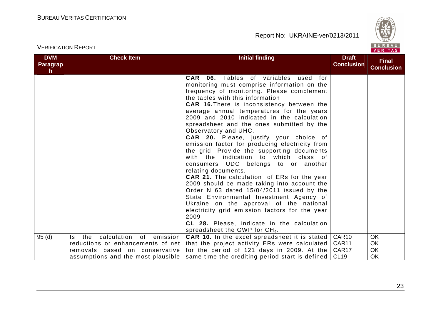VERIFICATION REPORT



| <b>DVM</b><br><b>Paragrap</b><br>h. | <b>Check Item</b>                                                                                            | <b>Initial finding</b>                                                                                                                                                                                                                                                                                                                                                                                                                                                                                                                                                                                                                                                                                                                                                                                                                                                                                                                                                                                                                              | <b>Draft</b><br><b>Conclusion</b>   | <b>Final</b><br><b>Conclusion</b> |
|-------------------------------------|--------------------------------------------------------------------------------------------------------------|-----------------------------------------------------------------------------------------------------------------------------------------------------------------------------------------------------------------------------------------------------------------------------------------------------------------------------------------------------------------------------------------------------------------------------------------------------------------------------------------------------------------------------------------------------------------------------------------------------------------------------------------------------------------------------------------------------------------------------------------------------------------------------------------------------------------------------------------------------------------------------------------------------------------------------------------------------------------------------------------------------------------------------------------------------|-------------------------------------|-----------------------------------|
|                                     |                                                                                                              | <b>CAR 06.</b> Tables of variables used<br>for<br>monitoring must comprise information on the<br>frequency of monitoring. Please complement<br>the tables with this information<br><b>CAR 16. There is inconsistency between the</b><br>average annual temperatures for the years<br>2009 and 2010 indicated in the calculation<br>spreadsheet and the ones submitted by the<br>Observatory and UHC.<br>CAR 20. Please, justify your choice of<br>emission factor for producing electricity from<br>the grid. Provide the supporting documents<br>with the indication to which class of<br>consumers UDC belongs to or another<br>relating documents.<br><b>CAR 21.</b> The calculation of ERs for the year<br>2009 should be made taking into account the<br>Order N 63 dated 15/04/2011 issued by the<br>State Environmental Investment Agency of<br>Ukraine on the approval of the national<br>electricity grid emission factors for the year<br>2009<br>CL 28. Please, indicate in the calculation<br>spreadsheet the GWP for CH <sub>4</sub> . |                                     |                                   |
| 95(d)                               | calculation of emission<br>the<br>Is.<br>reductions or enhancements of net<br>removals based on conservative | CAR 10. In the excel spreadsheet it is stated<br>that the project activity ERs were calculated<br>for the period of 121 days in 2009. At the                                                                                                                                                                                                                                                                                                                                                                                                                                                                                                                                                                                                                                                                                                                                                                                                                                                                                                        | CAR <sub>10</sub><br>CAR11<br>CAR17 | <b>OK</b><br><b>OK</b><br>OK      |
|                                     | assumptions and the most plausible                                                                           | same time the crediting period start is defined                                                                                                                                                                                                                                                                                                                                                                                                                                                                                                                                                                                                                                                                                                                                                                                                                                                                                                                                                                                                     | <b>CL19</b>                         | <b>OK</b>                         |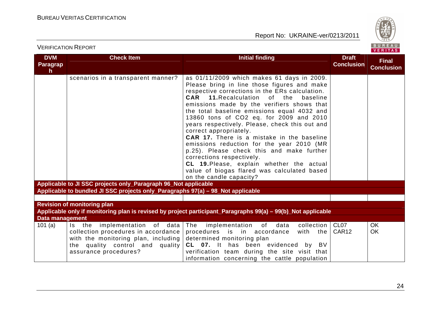

|                                     |                                                                                                                                                                             |                                                                                                                                                                                                                                                                                                                                                                                                                                                                                                                                                                                                                                                                                                                |                                   | $V = I1 I R J$                    |
|-------------------------------------|-----------------------------------------------------------------------------------------------------------------------------------------------------------------------------|----------------------------------------------------------------------------------------------------------------------------------------------------------------------------------------------------------------------------------------------------------------------------------------------------------------------------------------------------------------------------------------------------------------------------------------------------------------------------------------------------------------------------------------------------------------------------------------------------------------------------------------------------------------------------------------------------------------|-----------------------------------|-----------------------------------|
| <b>DVM</b><br><b>Paragrap</b><br>h. | <b>Check Item</b>                                                                                                                                                           | <b>Initial finding</b>                                                                                                                                                                                                                                                                                                                                                                                                                                                                                                                                                                                                                                                                                         | <b>Draft</b><br><b>Conclusion</b> | <b>Final</b><br><b>Conclusion</b> |
|                                     | scenarios in a transparent manner?                                                                                                                                          | as 01/11/2009 which makes 61 days in 2009.<br>Please bring in line those figures and make<br>respective corrections in the ERs calculation.<br><b>CAR</b> 11. Recalculation of the<br>baseline<br>emissions made by the verifiers shows that<br>the total baseline emissions equal 4032 and<br>13860 tons of CO2 eq. for 2009 and 2010<br>years respectively. Please, check this out and<br>correct appropriately.<br>CAR 17. There is a mistake in the baseline<br>emissions reduction for the year 2010 (MR<br>p.25). Please check this and make further<br>corrections respectively.<br>CL 19. Please, explain whether the actual<br>value of biogas flared was calculated based<br>on the candle capacity? |                                   |                                   |
|                                     | Applicable to JI SSC projects only_Paragraph 96_Not applicable                                                                                                              |                                                                                                                                                                                                                                                                                                                                                                                                                                                                                                                                                                                                                                                                                                                |                                   |                                   |
|                                     | Applicable to bundled JI SSC projects only_Paragraphs 97(a) - 98_Not applicable                                                                                             |                                                                                                                                                                                                                                                                                                                                                                                                                                                                                                                                                                                                                                                                                                                |                                   |                                   |
|                                     | <b>Revision of monitoring plan</b>                                                                                                                                          |                                                                                                                                                                                                                                                                                                                                                                                                                                                                                                                                                                                                                                                                                                                |                                   |                                   |
|                                     |                                                                                                                                                                             | Applicable only if monitoring plan is revised by project participant_Paragraphs 99(a) - 99(b)_Not applicable                                                                                                                                                                                                                                                                                                                                                                                                                                                                                                                                                                                                   |                                   |                                   |
| <b>Data management</b>              |                                                                                                                                                                             |                                                                                                                                                                                                                                                                                                                                                                                                                                                                                                                                                                                                                                                                                                                |                                   |                                   |
| 101 $(a)$                           | Is the implementation of data<br>collection procedures in accordance<br>with the monitoring plan, including $ $<br>the quality control and quality<br>assurance procedures? | The<br>collection   CL07<br>implementation<br>of<br>data<br>procedures is in accordance<br>with the<br>determined monitoring plan<br>CL 07. It has been evidenced by<br>BV<br>verification team during the site visit that<br>information concerning the cattle population                                                                                                                                                                                                                                                                                                                                                                                                                                     | CAR12                             | <b>OK</b><br>OK                   |

VERIFICATION REPORT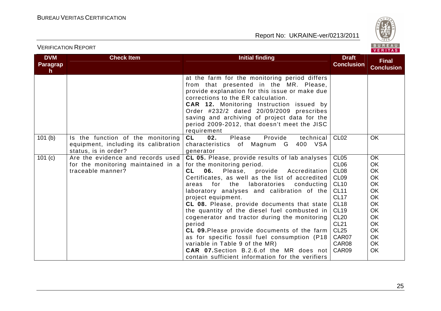

#### VERIFICATION REPORT

| <b>DVM</b>               | <b>Check Item</b>                                                                                 | <b>Initial finding</b>                                                                                                                                                                                                                                                                                                                                                                        | <b>Draft</b>               | <b>Final</b>      |
|--------------------------|---------------------------------------------------------------------------------------------------|-----------------------------------------------------------------------------------------------------------------------------------------------------------------------------------------------------------------------------------------------------------------------------------------------------------------------------------------------------------------------------------------------|----------------------------|-------------------|
| Paragrap<br>$\mathsf{h}$ |                                                                                                   |                                                                                                                                                                                                                                                                                                                                                                                               | <b>Conclusion</b>          | <b>Conclusion</b> |
|                          |                                                                                                   | at the farm for the monitoring period differs<br>from that presented in the MR. Please,<br>provide explanation for this issue or make due<br>corrections to the ER calculation.<br><b>CAR 12.</b> Monitoring Instruction issued by<br>Order #232/2 dated 20/09/2009 prescribes<br>saving and archiving of project data for the<br>period 2009-2012, that doesn't meet the JISC<br>requirement |                            |                   |
| 101(b)                   | Is the function of the monitoring<br>equipment, including its calibration<br>status, is in order? | Please<br><b>CL</b><br>Provide<br>technical<br>02.<br>characteristics of Magnum G<br>400 VSA<br>generator                                                                                                                                                                                                                                                                                     | CL <sub>02</sub>           | <b>OK</b>         |
| 101 (c)                  | Are the evidence and records used                                                                 | CL 05. Please, provide results of lab analyses                                                                                                                                                                                                                                                                                                                                                | CL <sub>05</sub>           | <b>OK</b>         |
|                          | for the monitoring maintained in a                                                                | for the monitoring period.                                                                                                                                                                                                                                                                                                                                                                    | CL <sub>06</sub>           | OK                |
|                          | traceable manner?                                                                                 | CL.<br>06.<br>Please,<br>provide Accreditation                                                                                                                                                                                                                                                                                                                                                | CL <sub>08</sub>           | OK                |
|                          |                                                                                                   | Certificates, as well as the list of accredited                                                                                                                                                                                                                                                                                                                                               | CL <sub>09</sub>           | <b>OK</b>         |
|                          |                                                                                                   | for the laboratories conducting<br>areas                                                                                                                                                                                                                                                                                                                                                      | <b>CL10</b><br><b>CL11</b> | OK<br>OK          |
|                          |                                                                                                   | laboratory analyses and calibration of the<br>project equipment.                                                                                                                                                                                                                                                                                                                              | <b>CL17</b>                | OK                |
|                          |                                                                                                   | CL 08. Please, provide documents that state                                                                                                                                                                                                                                                                                                                                                   | <b>CL18</b>                | <b>OK</b>         |
|                          |                                                                                                   | the quantity of the diesel fuel combusted in                                                                                                                                                                                                                                                                                                                                                  | <b>CL19</b>                | <b>OK</b>         |
|                          |                                                                                                   | cogenerator and tractor during the monitoring                                                                                                                                                                                                                                                                                                                                                 | <b>CL20</b>                | OK                |
|                          |                                                                                                   | period                                                                                                                                                                                                                                                                                                                                                                                        | <b>CL21</b>                | OK                |
|                          |                                                                                                   | CL 09. Please provide documents of the farm                                                                                                                                                                                                                                                                                                                                                   | <b>CL25</b>                | OK                |
|                          |                                                                                                   | as for specific fossil fuel consumption (P18                                                                                                                                                                                                                                                                                                                                                  | CAR07                      | OK                |
|                          |                                                                                                   | variable in Table 9 of the MR)                                                                                                                                                                                                                                                                                                                                                                | CAR08                      | OK                |
|                          |                                                                                                   | <b>CAR 07.</b> Section B.2.6. of the MR does not                                                                                                                                                                                                                                                                                                                                              | CAR09                      | OK                |
|                          |                                                                                                   | contain sufficient information for the verifiers                                                                                                                                                                                                                                                                                                                                              |                            |                   |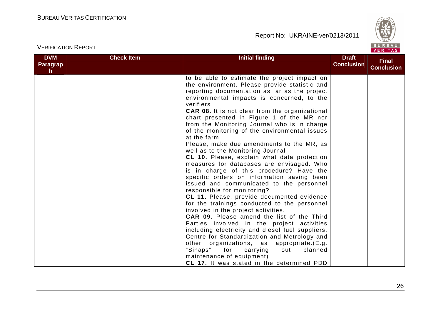

| <b>VERIFICATION REPORT</b>   |                   |                                                                                                                                                                                                                                                                                                                                                                                                                                                                                                                                                                                                                                                                                                                                                                                                                                                                                                                                                                                                                                                                                                                                                                                                                                                                                                    |                                   |                                   |  |
|------------------------------|-------------------|----------------------------------------------------------------------------------------------------------------------------------------------------------------------------------------------------------------------------------------------------------------------------------------------------------------------------------------------------------------------------------------------------------------------------------------------------------------------------------------------------------------------------------------------------------------------------------------------------------------------------------------------------------------------------------------------------------------------------------------------------------------------------------------------------------------------------------------------------------------------------------------------------------------------------------------------------------------------------------------------------------------------------------------------------------------------------------------------------------------------------------------------------------------------------------------------------------------------------------------------------------------------------------------------------|-----------------------------------|-----------------------------------|--|
| <b>DVM</b><br>Paragrap<br>h. | <b>Check Item</b> | <b>Initial finding</b>                                                                                                                                                                                                                                                                                                                                                                                                                                                                                                                                                                                                                                                                                                                                                                                                                                                                                                                                                                                                                                                                                                                                                                                                                                                                             | <b>Draft</b><br><b>Conclusion</b> | <b>Final</b><br><b>Conclusion</b> |  |
|                              |                   | to be able to estimate the project impact on<br>the environment. Please provide statistic and<br>reporting documentation as far as the project<br>environmental impacts is concerned, to the<br>verifiers<br><b>CAR 08.</b> It is not clear from the organizational<br>chart presented in Figure 1 of the MR nor<br>from the Monitoring Journal who is in charge<br>of the monitoring of the environmental issues<br>at the farm.<br>Please, make due amendments to the MR, as<br>well as to the Monitoring Journal<br>CL 10. Please, explain what data protection<br>measures for databases are envisaged. Who<br>is in charge of this procedure? Have the<br>specific orders on information saving been<br>issued and communicated to the personnel<br>responsible for monitoring?<br>CL 11. Please, provide documented evidence<br>for the trainings conducted to the personnel<br>involved in the project activities.<br>CAR 09. Please amend the list of the Third<br>Parties involved in the project activities<br>including electricity and diesel fuel suppliers,<br>Centre for Standardization and Metrology and<br>other organizations, as appropriate.(E.g.<br>"Sinaps"<br>for<br>carrying<br>out<br>planned<br>maintenance of equipment)<br>CL 17. It was stated in the determined PDD |                                   |                                   |  |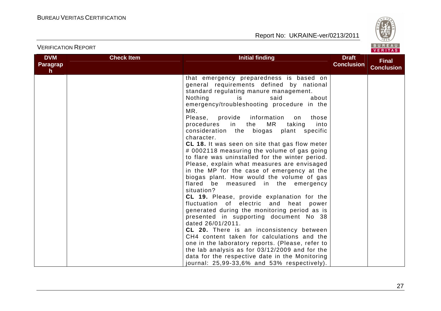VERIFICATION REPORT



| <b>DVM</b><br><b>Paragrap</b><br>h | <b>Check Item</b> | <b>Initial finding</b>                                                                                                                                                                                                                                                                                                                                                                                                                                                                                                                                                                                                                                                                                                                                                                                                                                                                                                                                                                                                                                                                                                                                                                                                                     | <b>Draft</b><br><b>Conclusion</b> | <b>Final</b><br><b>Conclusion</b> |
|------------------------------------|-------------------|--------------------------------------------------------------------------------------------------------------------------------------------------------------------------------------------------------------------------------------------------------------------------------------------------------------------------------------------------------------------------------------------------------------------------------------------------------------------------------------------------------------------------------------------------------------------------------------------------------------------------------------------------------------------------------------------------------------------------------------------------------------------------------------------------------------------------------------------------------------------------------------------------------------------------------------------------------------------------------------------------------------------------------------------------------------------------------------------------------------------------------------------------------------------------------------------------------------------------------------------|-----------------------------------|-----------------------------------|
|                                    |                   | that emergency preparedness is based on<br>general requirements defined by national<br>standard regulating manure management.<br>Nothing<br>said<br>about<br>is.<br>emergency/troubleshooting procedure in the<br>MR.<br>Please, provide information<br>those<br>on<br>MR<br>into<br>procedures<br>in the<br>taking<br>consideration the biogas<br>plant specific<br>character.<br>CL 18. It was seen on site that gas flow meter<br># 0002118 measuring the volume of gas going<br>to flare was uninstalled for the winter period.<br>Please, explain what measures are envisaged<br>in the MP for the case of emergency at the<br>biogas plant. How would the volume of gas<br>flared be measured in the emergency<br>situation?<br>CL 19. Please, provide explanation for the<br>fluctuation of electric and heat power<br>generated during the monitoring period as is<br>presented in supporting document No 38<br>dated 26/01/2011.<br>CL 20. There is an inconsistency between<br>CH4 content taken for calculations and the<br>one in the laboratory reports. (Please, refer to<br>the lab analysis as for 03/12/2009 and for the<br>data for the respective date in the Monitoring<br>journal: 25,99-33,6% and 53% respectively). |                                   |                                   |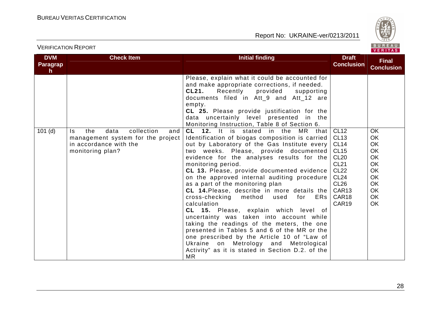

#### VERIFICATION REPORT

| <b>DVM</b>                      | <b>Check Item</b>                                                                                                          | <b>Initial finding</b>                                                                                                                                                                                                                                                                                                                                                                                                                                                                                                                                                                                                                                                                                                                                                                                                                     | <b>Draft</b>                                                                                                                                                               | <b>Final</b>                                                                                                          |
|---------------------------------|----------------------------------------------------------------------------------------------------------------------------|--------------------------------------------------------------------------------------------------------------------------------------------------------------------------------------------------------------------------------------------------------------------------------------------------------------------------------------------------------------------------------------------------------------------------------------------------------------------------------------------------------------------------------------------------------------------------------------------------------------------------------------------------------------------------------------------------------------------------------------------------------------------------------------------------------------------------------------------|----------------------------------------------------------------------------------------------------------------------------------------------------------------------------|-----------------------------------------------------------------------------------------------------------------------|
| <b>Paragrap</b><br>$\mathsf{h}$ |                                                                                                                            |                                                                                                                                                                                                                                                                                                                                                                                                                                                                                                                                                                                                                                                                                                                                                                                                                                            | <b>Conclusion</b>                                                                                                                                                          | <b>Conclusion</b>                                                                                                     |
|                                 |                                                                                                                            | Please, explain what it could be accounted for<br>and make appropriate corrections, if needed.<br><b>CL21.</b><br>Recently<br>provided<br>supporting<br>documents filed in Att_9 and Att_12 are<br>empty.<br>CL 25. Please provide justification for the<br>data uncertainly level presented in the<br>Monitoring Instruction, Table 8 of Section 6.                                                                                                                                                                                                                                                                                                                                                                                                                                                                                       |                                                                                                                                                                            |                                                                                                                       |
| $101$ (d)                       | collection<br>data<br>the<br>Is.<br>and<br>management system for the project<br>in accordance with the<br>monitoring plan? | CL 12. It is stated in the MR that<br>Identification of biogas composition is carried<br>out by Laboratory of the Gas Institute every<br>two weeks. Please, provide documented<br>evidence for the analyses results for the<br>monitoring period.<br>CL 13. Please, provide documented evidence<br>on the approved internal auditing procedure<br>as a part of the monitoring plan<br>CL 14. Please, describe in more details the<br>cross-checking<br>method<br>used<br>for<br>ERs  <br>calculation<br>CL 15. Please, explain which level of<br>uncertainty was taken into account while<br>taking the readings of the meters, the one<br>presented in Tables 5 and 6 of the MR or the<br>one prescribed by the Article 10 of "Law of<br>Ukraine on Metrology and Metrological<br>Activity" as it is stated in Section D.2. of the<br>MR. | <b>CL12</b><br><b>CL13</b><br><b>CL14</b><br><b>CL15</b><br><b>CL20</b><br><b>CL21</b><br><b>CL22</b><br><b>CL24</b><br><b>CL26</b><br>CAR <sub>13</sub><br>CAR18<br>CAR19 | <b>OK</b><br><b>OK</b><br><b>OK</b><br><b>OK</b><br>OK<br>OK<br>OK<br>OK<br>OK<br><b>OK</b><br><b>OK</b><br><b>OK</b> |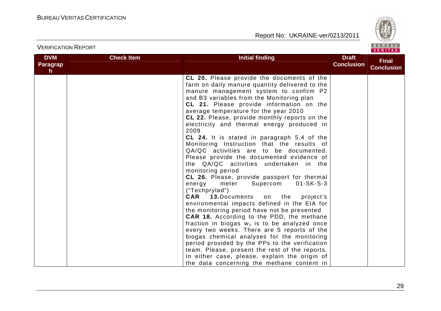

| <b>DVM</b><br><b>Paragrap</b><br>h | <b>Check Item</b> | <b>Initial finding</b>                                                                                                                                                                                                                                                                                                                                                                                                                                                                                                                                                                                                                                                                                                                                                                                                                                                                                                                                                                                                                                                                                                                                                                                                                                                                                      | <b>Draft</b><br><b>Conclusion</b> | <b>Final</b><br><b>Conclusion</b> |
|------------------------------------|-------------------|-------------------------------------------------------------------------------------------------------------------------------------------------------------------------------------------------------------------------------------------------------------------------------------------------------------------------------------------------------------------------------------------------------------------------------------------------------------------------------------------------------------------------------------------------------------------------------------------------------------------------------------------------------------------------------------------------------------------------------------------------------------------------------------------------------------------------------------------------------------------------------------------------------------------------------------------------------------------------------------------------------------------------------------------------------------------------------------------------------------------------------------------------------------------------------------------------------------------------------------------------------------------------------------------------------------|-----------------------------------|-----------------------------------|
|                                    |                   | CL 20. Please provide the documents of the<br>farm on daily manure quantity delivered to the<br>manure management system to confirm P2<br>and B3 variables from the Monitoring plan<br>CL 21. Please provide information on the<br>average temperature for the year 2010<br>CL 22. Please, provide monthly reports on the<br>electricity and thermal energy produced in<br>2009<br>CL 24. It is stated in paragraph 5.4 of the<br>Monitoring Instruction that the results of<br>QA/QC activities are to be documented.<br>Please provide the documented evidence of<br>the QA/QC activities undertaken in the<br>monitoring period<br>CL 26. Please, provide passport for thermal<br>Supercom<br>$01-SK-S-3$<br>meter<br>energy<br>("Techprylad")<br><b>CAR</b><br>13. Documents on the<br>project's<br>environmental impacts defined in the EIA for<br>the monitoring period have not be presented<br><b>CAR 18.</b> According to the PDD, the methane<br>fraction in biogas $w_3$ is to be analyzed once<br>every two weeks. There are 5 reports of the<br>biogas chemical analyses for the monitoring<br>period provided by the PPs to the verification<br>team. Please, present the rest of the reports.<br>In either case, please, explain the origin of<br>the data concerning the methane content in |                                   |                                   |

#### VERIFICATION REPORT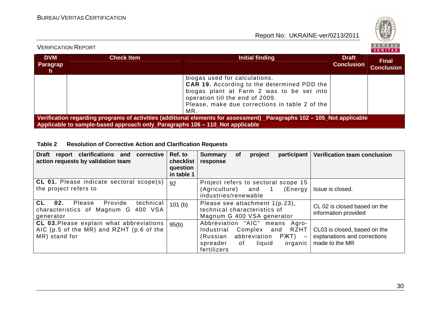VERIFICATION REPORT

Report No: UKRAINE-ver/0213/2011



#### **DVM Paragraph Check Item Check Item Initial finding Check Item Initial finding Check Item Initial finding Check Item Initial finding Conclusion Final Conclusion**biogas used for calculations. **CAR 19.** According to the determined PDD the biogas plant at Farm 2 was to be set into operation till the end of 2009. Please, make due corrections in table 2 of the MR. **Verification regarding programs of activities (additional elements for assessment) \_Paragraphs 102 – 105\_Not applicable Applicable to sample-based approach only\_Paragraphs 106 – 110\_Not applicable**

#### **Table 2 Resolution of Corrective Action and Clarification Requests**

| Draft report clarifications and corrective<br>action requests by validation team                             | Ref. to<br>checklist<br>question<br>in table 1 | participant<br><b>Verification team conclusion</b><br>project<br><b>Summary</b><br><b>of</b><br>response                                                                                                                                |
|--------------------------------------------------------------------------------------------------------------|------------------------------------------------|-----------------------------------------------------------------------------------------------------------------------------------------------------------------------------------------------------------------------------------------|
| <b>CL 01.</b> Please indicate sectoral scope(s)<br>the project refers to                                     | 92                                             | Project refers to sectoral scope 15<br>(Agriculture) and 1<br>(Energy<br>Issue is closed.<br>industries/renewable                                                                                                                       |
| CL 02. Please<br>Provide<br>technical<br>characteristics of Magnum G 400 VSA<br>generator                    | 101(b)                                         | Please see attachment 1(p.23),<br>CL 02 is closed based on the<br>technical characteristics of<br>information provided<br>Magnum G 400 VSA generator                                                                                    |
| <b>CL 03. Please explain what abbreviations</b><br>AIC (p.5 of the MR) and RZHT (p.6 of the<br>MR) stand for | 95(b)                                          | Abbreviation "AIC" means Agro-<br>Industrial Complex and RZHT   CL03 is closed, based on the<br>explanations and corrections<br>(Russian abbreviation<br>$PKT$ –<br>organic   made to the MR<br>liquid<br>spreader<br>of<br>fertilizers |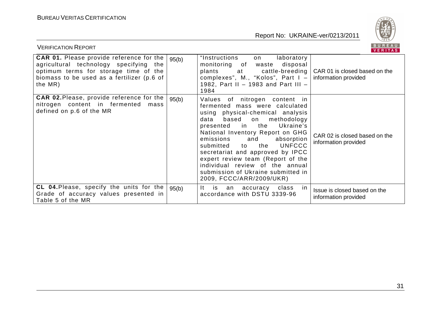

| <b>VERIFICATION REPORT</b>                                                                                                                                                                  |       |                                                                                                                                                                                                                                                                                                                                                                                                                                                                     | BUREAU<br>VERITAS                                     |
|---------------------------------------------------------------------------------------------------------------------------------------------------------------------------------------------|-------|---------------------------------------------------------------------------------------------------------------------------------------------------------------------------------------------------------------------------------------------------------------------------------------------------------------------------------------------------------------------------------------------------------------------------------------------------------------------|-------------------------------------------------------|
| <b>CAR 01.</b> Please provide reference for the<br>agricultural technology specifying the<br>optimum terms for storage time of the<br>biomass to be used as a fertilizer (p.6 of<br>the MR) | 95(b) | "Instructions<br>laboratory<br>on<br>monitoring of waste<br>disposal<br>plants<br>complexes", M., "Kolos", Part $I -$ information provided<br>1982, Part II - 1983 and Part III -<br>1984                                                                                                                                                                                                                                                                           | at cattle-breeding   CAR 01 is closed based on the    |
| CAR 02. Please, provide reference for the<br>nitrogen content in fermented mass<br>defined on p.6 of the MR                                                                                 | 95(b) | Values of nitrogen content in<br>fermented mass were calculated<br>using physical-chemical analysis<br>data based on methodology<br>Ukraine's<br>presented in the<br>National Inventory Report on GHG<br>emissions<br>and<br>absorption<br><b>UNFCCC</b><br>the<br>submitted<br>to to<br>secretariat and approved by IPCC<br>expert review team (Report of the<br>individual review of the annual<br>submission of Ukraine submitted in<br>2009, FCCC/ARR/2009/UKR) | CAR 02 is closed based on the<br>information provided |
| <b>CL 04. Please, specify the units for the</b><br>Grade of accuracy values presented in<br>Table 5 of the MR                                                                               | 95(b) | $It -$<br>in<br>is<br>an<br>accuracy class<br>accordance with DSTU 3339-96                                                                                                                                                                                                                                                                                                                                                                                          | Issue is closed based on the<br>information provided  |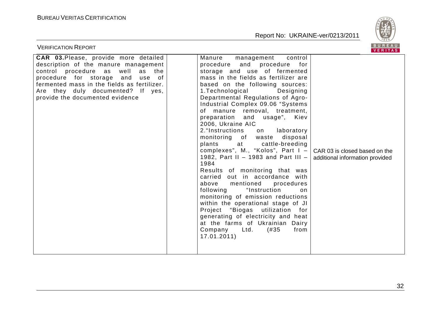

| BUREAU<br><b>VERIFICATION REPORT</b><br><b>VERITAS</b>                                                                                                                                                                                                                       |  |                                                                                                                                                                                                                                                                                                                                                                                                                                                                                                                                                                                                                                                                                                                                                                                                                                                                                                                                                                 |                                                                  |  |  |  |  |
|------------------------------------------------------------------------------------------------------------------------------------------------------------------------------------------------------------------------------------------------------------------------------|--|-----------------------------------------------------------------------------------------------------------------------------------------------------------------------------------------------------------------------------------------------------------------------------------------------------------------------------------------------------------------------------------------------------------------------------------------------------------------------------------------------------------------------------------------------------------------------------------------------------------------------------------------------------------------------------------------------------------------------------------------------------------------------------------------------------------------------------------------------------------------------------------------------------------------------------------------------------------------|------------------------------------------------------------------|--|--|--|--|
| CAR 03. Please, provide more detailed<br>description of the manure management<br>control procedure as well as the<br>procedure for storage and use of<br>fermented mass in the fields as fertilizer.<br>Are they duly documented? If yes,<br>provide the documented evidence |  | Manure<br>control<br>management<br>procedure and procedure<br>for<br>storage and use of fermented<br>mass in the fields as fertilizer are<br>based on the following sources:<br>1. Technological<br>Designing<br>Departmental Regulations of Agro-<br>Industrial Complex 09.06 "Systems<br>of manure removal, treatment,<br>preparation and usage", Kiev<br>2006, Ukraine AIC<br>2. "Instructions<br>laboratory<br>on<br>monitoring of waste disposal<br>plants<br>cattle-breeding<br>at<br>complexes", M., "Kolos", Part $I -$<br>1982, Part II - 1983 and Part III -<br>1984<br>Results of monitoring that was<br>carried out in accordance with<br>above<br>mentioned<br>procedures<br>following "Instruction<br>on<br>monitoring of emission reductions<br>within the operational stage of JI<br>Project "Biogas utilization for<br>generating of electricity and heat<br>at the farms of Ukrainian Dairy<br>Ltd.<br>(#35<br>from<br>Company<br>17.01.2011) | CAR 03 is closed based on the<br>additional information provided |  |  |  |  |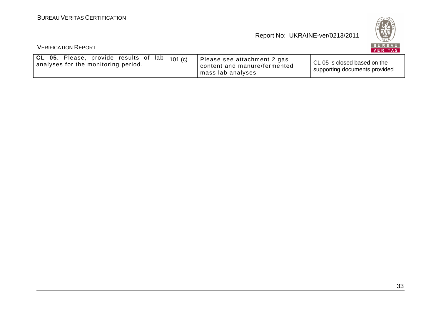

| <b>VERIFICATION REPORT</b>                                                            |                                                                                  | BUREAU<br>VERITAS                                             |
|---------------------------------------------------------------------------------------|----------------------------------------------------------------------------------|---------------------------------------------------------------|
| CL 05. Please, provide results of lab $101(c)$<br>analyses for the monitoring period. | Please see attachment 2 gas<br>content and manure/fermented<br>mass lab analyses | CL 05 is closed based on the<br>supporting documents provided |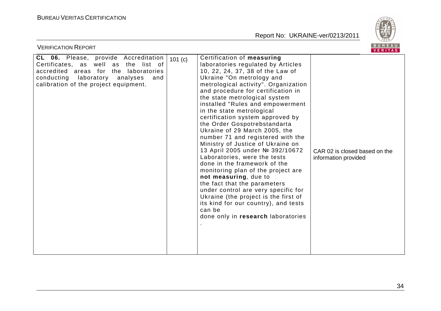

| <b>VERIFICATION REPORT</b>                                                                                                                                                                                    |         |                                                                                                                                                                                                                                                                                                                                                                                                                                                                                                                                                                                                                                                                                                                                                                                                                                                                           | B U R E A U<br>VERITAS                                |
|---------------------------------------------------------------------------------------------------------------------------------------------------------------------------------------------------------------|---------|---------------------------------------------------------------------------------------------------------------------------------------------------------------------------------------------------------------------------------------------------------------------------------------------------------------------------------------------------------------------------------------------------------------------------------------------------------------------------------------------------------------------------------------------------------------------------------------------------------------------------------------------------------------------------------------------------------------------------------------------------------------------------------------------------------------------------------------------------------------------------|-------------------------------------------------------|
| CL 06. Please, provide Accreditation<br>Certificates, as well as the list of<br>accredited areas for the laboratories<br>conducting<br>laboratory<br>analyses<br>and<br>calibration of the project equipment. | 101 (c) | Certification of measuring<br>laboratories regulated by Articles<br>10, 22, 24, 37, 38 of the Law of<br>Ukraine "On metrology and<br>metrological activity". Organization<br>and procedure for certification in<br>the state metrological system<br>installed "Rules and empowerment<br>in the state metrological<br>certification system approved by<br>the Order Gospotrebstandarta<br>Ukraine of 29 March 2005, the<br>number 71 and registered with the<br>Ministry of Justice of Ukraine on<br>13 April 2005 under № 392/10672<br>Laboratories, were the tests<br>done in the framework of the<br>monitoring plan of the project are<br>not measuring, due to<br>the fact that the parameters<br>under control are very specific for<br>Ukraine (the project is the first of<br>its kind for our country), and tests<br>can be<br>done only in research laboratories | CAR 02 is closed based on the<br>information provided |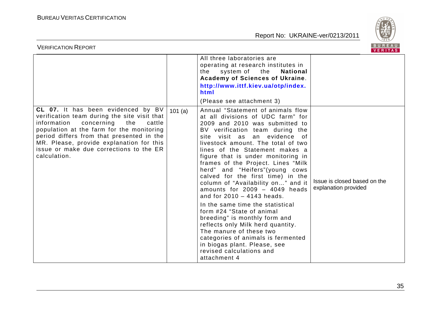

| <b>BUREAU</b><br><b>VERIFICATION REPORT</b><br><b>VERITAS</b>                                                                                                                                                                                                                                                                     |        |                                                                                                                                                                                                                                                                                                                                                                                                                                                                                                                                                                                                                                                                                                                                                                                                           |                                                      |  |  |  |
|-----------------------------------------------------------------------------------------------------------------------------------------------------------------------------------------------------------------------------------------------------------------------------------------------------------------------------------|--------|-----------------------------------------------------------------------------------------------------------------------------------------------------------------------------------------------------------------------------------------------------------------------------------------------------------------------------------------------------------------------------------------------------------------------------------------------------------------------------------------------------------------------------------------------------------------------------------------------------------------------------------------------------------------------------------------------------------------------------------------------------------------------------------------------------------|------------------------------------------------------|--|--|--|
|                                                                                                                                                                                                                                                                                                                                   |        | All three laboratories are<br>operating at research institutes in<br>system of<br>the<br>the<br><b>National</b><br>Academy of Sciences of Ukraine.<br>http://www.ittf.kiev.ua/otp/index.<br>html<br>(Please see attachment 3)                                                                                                                                                                                                                                                                                                                                                                                                                                                                                                                                                                             |                                                      |  |  |  |
| CL 07. It has been evidenced by BV<br>verification team during the site visit that<br>information<br>concerning<br>the<br>cattle<br>population at the farm for the monitoring<br>period differs from that presented in the<br>MR. Please, provide explanation for this<br>issue or make due corrections to the ER<br>calculation. | 101(a) | Annual "Statement of animals flow<br>at all divisions of UDC farm" for<br>2009 and 2010 was submitted to<br>BV verification team during the<br>visit as an evidence<br>of<br>site<br>livestock amount. The total of two<br>lines of the Statement makes a<br>figure that is under monitoring in<br>frames of the Project. Lines "Milk<br>herd" and "Heifers"(young cows<br>calved for the first time) in the<br>column of "Availability on" and it<br>amounts for $2009 - 4049$ heads<br>and for $2010 - 4143$ heads.<br>In the same time the statistical<br>form #24 "State of animal<br>breeding" is monthly form and<br>reflects only Milk herd quantity.<br>The manure of these two<br>categories of animals is fermented<br>in biogas plant. Please, see<br>revised calculations and<br>attachment 4 | Issue is closed based on the<br>explanation provided |  |  |  |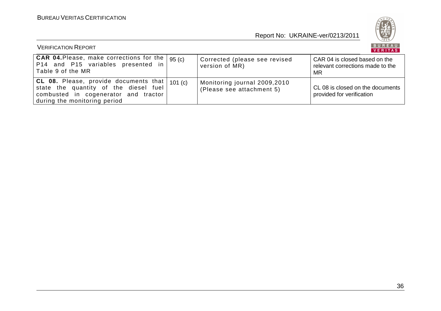

| BUREAU<br><b>VERIFICATION REPORT</b><br>VERITAS                                                                                                                                          |  |                                                           |                                                                         |  |  |
|------------------------------------------------------------------------------------------------------------------------------------------------------------------------------------------|--|-----------------------------------------------------------|-------------------------------------------------------------------------|--|--|
| CAR 04. Please, make corrections for the $ 95 (c) $<br>P14 and P15 variables presented in<br>Table 9 of the MR                                                                           |  | Corrected (please see revised<br>version of MR)           | CAR 04 is closed based on the<br>relevant corrections made to the<br>MR |  |  |
| $\overline{\textsf{CL}}$ 08. Please, provide documents that $ $ 101 (c)<br>state the quantity of the diesel fuel<br>combusted in cogenerator and tractor<br>during the monitoring period |  | Monitoring journal 2009,2010<br>(Please see attachment 5) | CL 08 is closed on the documents<br>provided for verification           |  |  |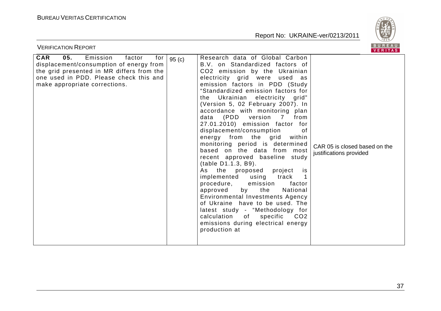

| BUREAU<br><b>VERIFICATION REPORT</b><br><b>VERITAS</b>                                                                                                                                                            |       |                                                                                                                                                                                                                                                                                                                                                                                                                                                                                                                                                                                                                                                                                                                                                                                                                                                                                                                                            |                                                          |  |  |  |
|-------------------------------------------------------------------------------------------------------------------------------------------------------------------------------------------------------------------|-------|--------------------------------------------------------------------------------------------------------------------------------------------------------------------------------------------------------------------------------------------------------------------------------------------------------------------------------------------------------------------------------------------------------------------------------------------------------------------------------------------------------------------------------------------------------------------------------------------------------------------------------------------------------------------------------------------------------------------------------------------------------------------------------------------------------------------------------------------------------------------------------------------------------------------------------------------|----------------------------------------------------------|--|--|--|
| <b>CAR</b><br>05.<br>Emission<br>factor<br>for<br>displacement/consumption of energy from<br>the grid presented in MR differs from the<br>one used in PDD. Please check this and<br>make appropriate corrections. | 95(c) | Research data of Global Carbon<br>B.V. on Standardized factors of<br>CO2 emission by the Ukrainian<br>electricity grid were used as<br>emission factors in PDD (Study<br>"Standardized emission factors for<br>Ukrainian electricity grid"<br>the<br>(Version 5, 02 February 2007). In<br>accordance with monitoring plan<br>data (PDD version 7<br>from<br>27.01.2010) emission factor for<br>displacement/consumption<br>of<br>energy from the grid<br>within<br>monitoring period is determined<br>based on the data from most<br>recent approved baseline study<br>(table D1.1.3, B9).<br>As the proposed<br>project<br>is<br>implemented<br>using<br>track<br>1<br>procedure,<br>factor<br>emission<br>by the<br>National<br>approved<br>Environmental Investments Agency<br>of Ukraine have to be used. The<br>latest study - "Methodology for<br>calculation of specific CO2<br>emissions during electrical energy<br>production at | CAR 05 is closed based on the<br>justifications provided |  |  |  |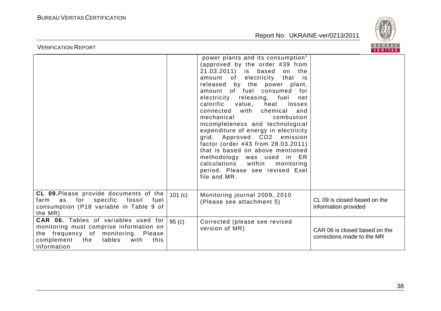

| BUREAU<br><b>VERIFICATION REPORT</b><br><b>VERITAS</b>                                                                                                                               |         |                                                                                                                                                                                                                                                                                                                                                                                                                                                                                                                                                                                                                                                                      |                                                             |  |
|--------------------------------------------------------------------------------------------------------------------------------------------------------------------------------------|---------|----------------------------------------------------------------------------------------------------------------------------------------------------------------------------------------------------------------------------------------------------------------------------------------------------------------------------------------------------------------------------------------------------------------------------------------------------------------------------------------------------------------------------------------------------------------------------------------------------------------------------------------------------------------------|-------------------------------------------------------------|--|
|                                                                                                                                                                                      |         | power plants and its consumption"<br>(approved by the order #39 from<br>21.03.2011) is based<br>on the<br>amount of electricity that is<br>released by the power plant,<br>amount of fuel consumed for<br>electricity releasing, fuel<br>net<br>calorific<br>value, heat<br>losses<br>connected<br>with<br>chemical<br>and<br>mechanical<br>combustion<br>incompleteness and technological<br>expenditure of energy in electricity<br>grid. Approved CO2 emission<br>factor (order #43 from 28.03.2011)<br>that is based on above mentioned<br>methodology was used in ER<br>calculations<br>within<br>monitoring<br>period. Please see revised Exel<br>file and MR. |                                                             |  |
| CL 09. Please provide documents of the<br>for specific<br>fossil<br>fuel<br>as<br>farm<br>consumption (P18 variable in Table 9 of<br>the MR)                                         | 101 (c) | Monitoring journal 2009, 2010<br>(Please see attachment 5)                                                                                                                                                                                                                                                                                                                                                                                                                                                                                                                                                                                                           | CL 09 is closed based on the<br>information provided        |  |
| CAR 06. Tables of variables used for<br>monitoring must comprise information on<br>the frequency of monitoring. Please<br>complement<br>tables<br>with<br>the<br>this<br>information | 95(c)   | Corrected (please see revised<br>version of MR)                                                                                                                                                                                                                                                                                                                                                                                                                                                                                                                                                                                                                      | CAR 06 is closed based on the<br>corrections made to the MR |  |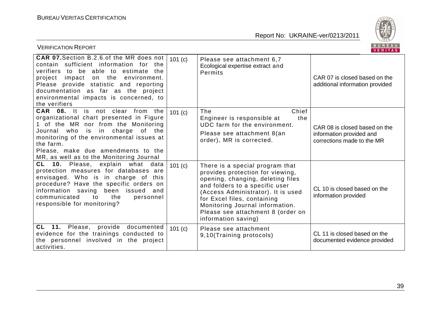

| <b>VERIFICATION REPORT</b>                                                                                                                                                                                                                                                                                                         |         |                                                                                                                                                                                                                                                                                                                | BUREAU<br><b>VERITAS</b>                                                                |
|------------------------------------------------------------------------------------------------------------------------------------------------------------------------------------------------------------------------------------------------------------------------------------------------------------------------------------|---------|----------------------------------------------------------------------------------------------------------------------------------------------------------------------------------------------------------------------------------------------------------------------------------------------------------------|-----------------------------------------------------------------------------------------|
| <b>CAR 07.</b> Section B.2.6. of the MR does not  <br>contain sufficient information for the<br>verifiers to be able to<br>estimate the<br>impact<br>on the<br>project<br>environment.<br>Please provide statistic and reporting<br>documentation as far as the project<br>environmental impacts is concerned, to<br>the verifiers | 101 (c) | Please see attachment 6,7<br>Ecological expertise extract and<br>Permits                                                                                                                                                                                                                                       | CAR 07 is closed based on the<br>additional information provided                        |
| CAR 08. It is not clear<br>from the<br>organizational chart presented in Figure<br>1 of the MR nor from the Monitoring<br>Journal who is in charge of the<br>monitoring of the environmental issues at<br>the farm.<br>Please, make due amendments to the<br>MR, as well as to the Monitoring Journal                              | 101 (c) | The<br>Chief<br>the<br>Engineer is responsible at<br>UDC farm for the environment.<br>Please see attachment 8(an<br>order), MR is corrected.                                                                                                                                                                   | CAR 08 is closed based on the<br>information provided and<br>corrections made to the MR |
| CL 10. Please, explain what data<br>protection measures for databases are<br>envisaged. Who is in charge of this<br>procedure? Have the specific orders on<br>been issued and<br>information saving<br>communicated<br>the<br>to<br>personnel<br>responsible for monitoring?                                                       | 101 (c) | There is a special program that<br>provides protection for viewing,<br>opening, changing, deleting files<br>and folders to a specific user<br>(Access Administrator). It is used<br>for Excel files, containing<br>Monitoring Journal information.<br>Please see attachment 8 (order on<br>information saving) | CL 10 is closed based on the<br>information provided                                    |
| CL 11. Please, provide documented<br>evidence for the trainings conducted to<br>the personnel involved in the project<br>activities.                                                                                                                                                                                               | 101 (c) | Please see attachment<br>9,10(Training protocols)                                                                                                                                                                                                                                                              | CL 11 is closed based on the<br>documented evidence provided                            |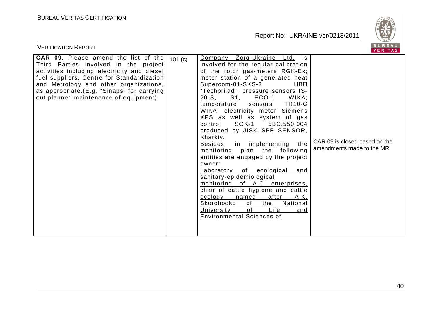

| <b>VERIFICATION REPORT</b>                                                                                                                                                                                                                                                                                         |        |                                                                                                                                                                                                                                                                                                                                                                                                                                                                                                                                                                                                                                                                                                                                                                                                                                                              | BUREAU<br><b>VERITAS</b>                                   |
|--------------------------------------------------------------------------------------------------------------------------------------------------------------------------------------------------------------------------------------------------------------------------------------------------------------------|--------|--------------------------------------------------------------------------------------------------------------------------------------------------------------------------------------------------------------------------------------------------------------------------------------------------------------------------------------------------------------------------------------------------------------------------------------------------------------------------------------------------------------------------------------------------------------------------------------------------------------------------------------------------------------------------------------------------------------------------------------------------------------------------------------------------------------------------------------------------------------|------------------------------------------------------------|
| <b>CAR 09.</b> Please amend the list of the<br>Third Parties involved in the project<br>activities including electricity and diesel<br>fuel suppliers, Centre for Standardization<br>and Metrology and other organizations,<br>as appropriate.(E.g. "Sinaps" for carrying<br>out planned maintenance of equipment) | 101(c) | Company Zorg-Ukraine Ltd. is<br>involved for the regular calibration<br>of the rotor gas-meters RGK-Ex;<br>meter station of a generated heat<br>Supercom-01-SKS-3,<br><b>HBN</b><br>"Techprilad"; pressure sensors IS-<br>20-S, S1, ECO-1<br>WIKA;<br><b>TR10-C</b><br>temperature sensors<br>WIKA; electricity meter Siemens<br>XPS as well as system of gas<br>control SGK-1<br>5BC.550.004<br>produced by JISK SPF SENSOR,<br>Kharkiv.<br>Besides, in implementing the<br>monitoring plan the following<br>entities are engaged by the project<br>owner:<br>Laboratory of ecological<br>and<br>sanitary-epidemiological<br>monitoring of AIC enterprises,<br>chair of cattle hygiene and cattle<br>A.K.<br>after<br>ecology<br>named<br><b>National</b><br>Skorohodko<br>the<br>of<br>Life<br>University<br>of<br>and<br><b>Environmental Sciences of</b> | CAR 09 is closed based on the<br>amendments made to the MR |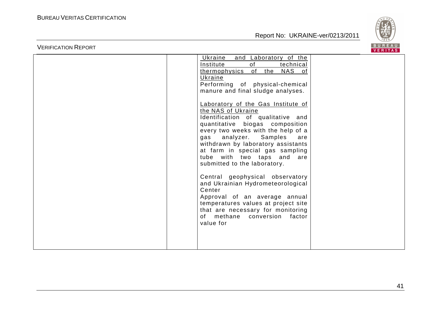

| Ukraine<br>and Laboratory of the<br>of<br>technical<br>Institute<br>NAS of<br>of<br>the<br>thermophysics<br>Ukraine<br>Performing of physical-chemical<br>manure and final sludge analyses.<br><b>Laboratory of the Gas Institute of</b><br>the NAS of Ukraine<br>Identification of qualitative and<br>quantitative biogas composition<br>every two weeks with the help of a<br>Samples<br>analyzer.<br>gas<br>are<br>withdrawn by laboratory assistants<br>at farm in special gas sampling<br>tube with two taps and<br>are<br>submitted to the laboratory.<br>Central geophysical observatory<br>and Ukrainian Hydrometeorological<br>Center<br>Approval of an average annual<br>temperatures values at project site<br>that are necessary for monitoring<br>methane<br>factor<br>of l<br>conversion<br>value for |  |
|---------------------------------------------------------------------------------------------------------------------------------------------------------------------------------------------------------------------------------------------------------------------------------------------------------------------------------------------------------------------------------------------------------------------------------------------------------------------------------------------------------------------------------------------------------------------------------------------------------------------------------------------------------------------------------------------------------------------------------------------------------------------------------------------------------------------|--|
|---------------------------------------------------------------------------------------------------------------------------------------------------------------------------------------------------------------------------------------------------------------------------------------------------------------------------------------------------------------------------------------------------------------------------------------------------------------------------------------------------------------------------------------------------------------------------------------------------------------------------------------------------------------------------------------------------------------------------------------------------------------------------------------------------------------------|--|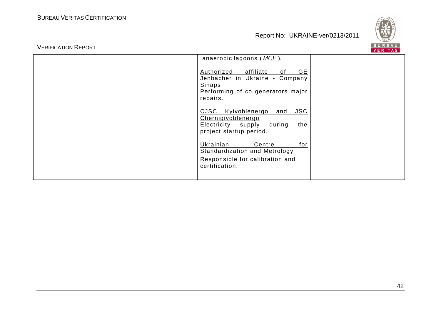

| anaerobic lagoons $(MCF)$ .                                                                                                                       |  |
|---------------------------------------------------------------------------------------------------------------------------------------------------|--|
| affiliate<br><b>GE</b><br>Authorized<br>of<br>Jenbacher in Ukraine -<br><b>Company</b><br>Sinaps<br>Performing of co generators major<br>repairs. |  |
| CJSC<br>Kyivoblenergo<br><b>JSC</b><br>and<br>Chernigivoblenergo<br>Electricity supply<br>during<br>the<br>project startup period.                |  |
| Ukrainian<br>Centre<br>for<br>Standardization and Metrology<br>Responsible for calibration and<br>certification.                                  |  |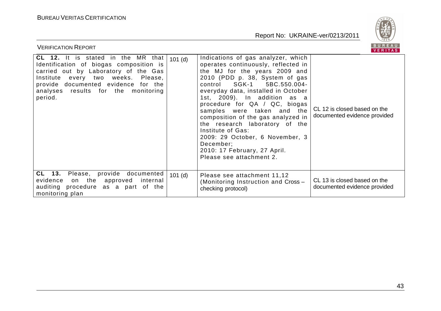

| <b>VERIFICATION REPORT</b>                                                                                                                                                                                                                                        |                                                                                                                                                                                                                                                                                                                                                                                                                                                                                                                                 | BUREAU<br><b>VERITAS</b>                                     |
|-------------------------------------------------------------------------------------------------------------------------------------------------------------------------------------------------------------------------------------------------------------------|---------------------------------------------------------------------------------------------------------------------------------------------------------------------------------------------------------------------------------------------------------------------------------------------------------------------------------------------------------------------------------------------------------------------------------------------------------------------------------------------------------------------------------|--------------------------------------------------------------|
| CL 12. It is stated in the MR that<br>$101$ (d)<br>Identification of biogas composition is<br>carried out by Laboratory of the Gas<br>Institute every two weeks. Please,<br>provide documented evidence for the<br>analyses results for the monitoring<br>period. | Indications of gas analyzer, which<br>operates continuously, reflected in<br>the MJ for the years 2009 and<br>2010 (PDD p. 38, System of gas<br>5BC.550.004-<br>SGK-1<br>control<br>everyday data, installed in October<br>1st, 2009). In addition as a<br>procedure for QA / QC, biogas<br>samples were taken and the<br>composition of the gas analyzed in<br>the research laboratory of the<br>Institute of Gas:<br>2009: 29 October, 6 November, 3<br>December;<br>2010: 17 February, 27 April.<br>Please see attachment 2. | CL 12 is closed based on the<br>documented evidence provided |
| CL 13.<br>Please, provide documented<br>$101$ (d)<br>on the approved<br>evidence<br>internal<br>auditing procedure as a part of the<br>monitoring plan                                                                                                            | Please see attachment 11,12<br>(Monitoring Instruction and Cross -<br>checking protocol)                                                                                                                                                                                                                                                                                                                                                                                                                                        | CL 13 is closed based on the<br>documented evidence provided |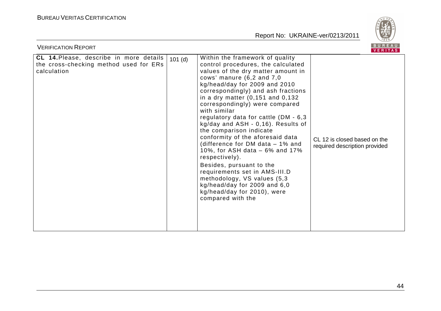

| <b>VERIFICATION REPORT</b>                                                                       |        |                                                                                                                                                                                                                                                                                                                                                                                                                                                                                                                                                                                                                                                                                                                                                | <b>BUREAU</b><br>VERITAS                                      |
|--------------------------------------------------------------------------------------------------|--------|------------------------------------------------------------------------------------------------------------------------------------------------------------------------------------------------------------------------------------------------------------------------------------------------------------------------------------------------------------------------------------------------------------------------------------------------------------------------------------------------------------------------------------------------------------------------------------------------------------------------------------------------------------------------------------------------------------------------------------------------|---------------------------------------------------------------|
| CL 14. Please, describe in more details<br>the cross-checking method used for ERs<br>calculation | 101(d) | Within the framework of quality<br>control procedures, the calculated<br>values of the dry matter amount in<br>cows' manure $(6, 2 \text{ and } 7, 0)$<br>kg/head/day for 2009 and 2010<br>correspondingly) and ash fractions<br>in a dry matter $(0,151$ and $0,132$<br>correspondingly) were compared<br>with similar<br>regulatory data for cattle (DM - 6,3<br>kg/day and ASH - 0,16). Results of<br>the comparison indicate<br>conformity of the aforesaid data<br>(difference for DM data $-1\%$ and<br>10%, for ASH data - 6% and 17%<br>respectively).<br>Besides, pursuant to the<br>requirements set in AMS-III.D<br>methodology, VS values (5,3<br>kg/head/day for 2009 and 6,0<br>kg/head/day for 2010), were<br>compared with the | CL 12 is closed based on the<br>required description provided |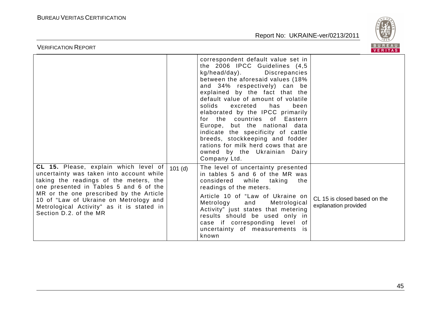

| BUREAU<br><b>VERIFICATION REPORT</b><br><b>VERITAS</b>                                                                                                                                                                                                                                                                            |        |                                                                                                                                                                                                                                                                                                                                                                                                                                                                                                                                                                      |                                                      |  |
|-----------------------------------------------------------------------------------------------------------------------------------------------------------------------------------------------------------------------------------------------------------------------------------------------------------------------------------|--------|----------------------------------------------------------------------------------------------------------------------------------------------------------------------------------------------------------------------------------------------------------------------------------------------------------------------------------------------------------------------------------------------------------------------------------------------------------------------------------------------------------------------------------------------------------------------|------------------------------------------------------|--|
|                                                                                                                                                                                                                                                                                                                                   |        | correspondent default value set in<br>the 2006 IPCC Guidelines (4,5<br>kg/head/day).<br><b>Discrepancies</b><br>between the aforesaid values (18%<br>and 34% respectively) can be<br>explained by the fact that the<br>default value of amount of volatile<br>solids<br>excreted<br>has<br>been<br>elaborated by the IPCC primarily<br>for the countries of Eastern<br>Europe, but the national data<br>indicate the specificity of cattle<br>breeds, stockkeeping and fodder<br>rations for milk herd cows that are<br>owned by the Ukrainian Dairy<br>Company Ltd. |                                                      |  |
| CL 15. Please, explain which level of<br>uncertainty was taken into account while<br>taking the readings of the meters, the<br>one presented in Tables 5 and 6 of the<br>MR or the one prescribed by the Article<br>10 of "Law of Ukraine on Metrology and<br>Metrological Activity" as it is stated in<br>Section D.2. of the MR | 101(d) | The level of uncertainty presented<br>in tables 5 and 6 of the MR was<br>considered while<br>taking<br>the<br>readings of the meters.<br>Article 10 of "Law of Ukraine on<br>Metrology and<br>Metrological<br>Activity" just states that metering<br>results should be used only in<br>case if corresponding level<br>of<br>uncertainty of measurements<br><b>is</b><br>known                                                                                                                                                                                        | CL 15 is closed based on the<br>explanation provided |  |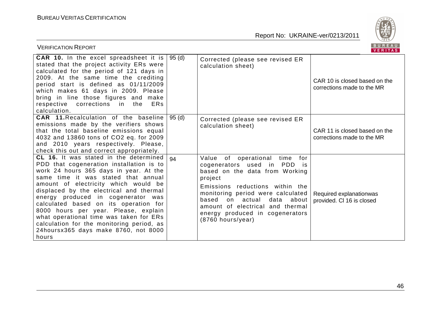

| <b>VERIFICATION REPORT</b>                                                                                                                                                                                                                                                                                                                                                                                                                                                                                             |       |                                                                                                                                                                                                                                                                                                                               | BUREAU<br>VERITAS                                           |
|------------------------------------------------------------------------------------------------------------------------------------------------------------------------------------------------------------------------------------------------------------------------------------------------------------------------------------------------------------------------------------------------------------------------------------------------------------------------------------------------------------------------|-------|-------------------------------------------------------------------------------------------------------------------------------------------------------------------------------------------------------------------------------------------------------------------------------------------------------------------------------|-------------------------------------------------------------|
| <b>CAR 10.</b> In the excel spreadsheet it is  <br>stated that the project activity ERs were<br>calculated for the period of 121 days in<br>2009. At the same time the crediting<br>period start is defined as 01/11/2009<br>which makes 61 days in 2009. Please<br>bring in line those figures and make<br>respective corrections in the<br><b>ERs</b><br>calculation.                                                                                                                                                | 95(d) | Corrected (please see revised ER<br>calculation sheet)                                                                                                                                                                                                                                                                        | CAR 10 is closed based on the<br>corrections made to the MR |
| <b>CAR 11. Recalculation of the baseline</b><br>emissions made by the verifiers shows<br>that the total baseline emissions equal<br>4032 and 13860 tons of CO2 eq. for 2009<br>and 2010 years respectively. Please,<br>check this out and correct appropriately.                                                                                                                                                                                                                                                       | 95(d) | Corrected (please see revised ER<br>calculation sheet)                                                                                                                                                                                                                                                                        | CAR 11 is closed based on the<br>corrections made to the MR |
| CL 16. It was stated in the determined<br>PDD that cogeneration installation is to<br>work 24 hours 365 days in year. At the<br>same time it was stated that annual<br>amount of electricity which would be<br>displaced by the electrical and thermal<br>energy produced in cogenerator was<br>calculated based on its operation for<br>8000 hours per year. Please, explain<br>what operational time was taken for ERs<br>calculation for the monitoring period, as<br>24hoursx365 days make 8760, not 8000<br>hours | 94    | Value of operational time<br>for f<br>cogenerators used in PDD<br>is:<br>based on the data from Working<br>project<br>Emissions reductions within the<br>monitoring period were calculated<br>on actual<br>data<br>about<br>based<br>amount of electrical and thermal<br>energy produced in cogenerators<br>(8760 hours/year) | Required explanationwas<br>provided. CI 16 is closed        |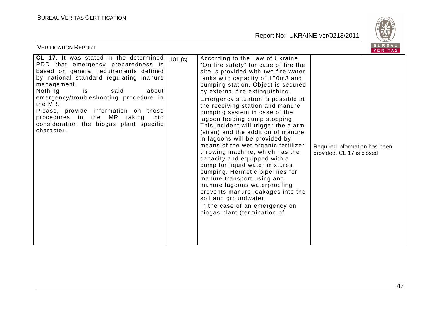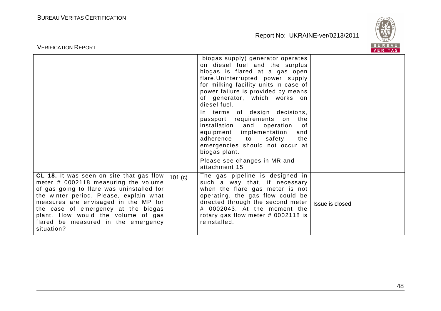

| BUREAU<br><b>VERIFICATION REPORT</b><br><b>VERITAS</b>                                                                                                                                                                                                                                                                                             |        |                                                                                                                                                                                                                                                                                                                                                                                                                                                                                                                                                                        |                 |  |
|----------------------------------------------------------------------------------------------------------------------------------------------------------------------------------------------------------------------------------------------------------------------------------------------------------------------------------------------------|--------|------------------------------------------------------------------------------------------------------------------------------------------------------------------------------------------------------------------------------------------------------------------------------------------------------------------------------------------------------------------------------------------------------------------------------------------------------------------------------------------------------------------------------------------------------------------------|-----------------|--|
|                                                                                                                                                                                                                                                                                                                                                    |        | biogas supply) generator operates<br>on diesel fuel and the surplus<br>biogas is flared at a gas open<br>flare. Uninterrupted power supply<br>for milking facility units in case of<br>power failure is provided by means<br>of generator, which works on<br>diesel fuel.<br>In terms of design decisions,<br>passport requirements on<br>the<br>installation<br>and<br>operation<br>0f<br>implementation<br>equipment<br>and<br>adherence<br>the<br>safety<br>to<br>emergencies should not occur at<br>biogas plant.<br>Please see changes in MR and<br>attachment 15 |                 |  |
| CL 18. It was seen on site that gas flow<br>meter # 0002118 measuring the volume<br>of gas going to flare was uninstalled for<br>the winter period. Please, explain what<br>measures are envisaged in the MP for<br>the case of emergency at the biogas<br>plant. How would the volume of gas<br>flared be measured in the emergency<br>situation? | 101(c) | The gas pipeline is designed in<br>such a way that, if necessary<br>when the flare gas meter is not<br>operating, the gas flow could be<br>directed through the second meter<br># 0002043. At the moment the<br>rotary gas flow meter # 0002118 is<br>reinstalled.                                                                                                                                                                                                                                                                                                     | Issue is closed |  |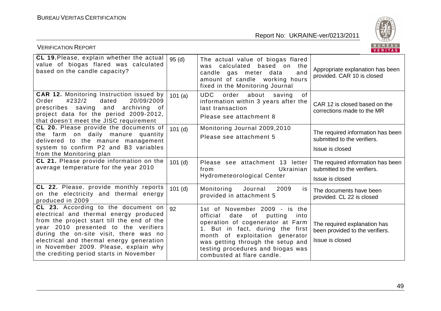

| <b>VERIFICATION REPORT</b>                                                                                                                                                                                                                                                                                                                    |           |                                                                                                                                                                                                                                                                                            | BUREAU<br>VERITAS                                                                   |
|-----------------------------------------------------------------------------------------------------------------------------------------------------------------------------------------------------------------------------------------------------------------------------------------------------------------------------------------------|-----------|--------------------------------------------------------------------------------------------------------------------------------------------------------------------------------------------------------------------------------------------------------------------------------------------|-------------------------------------------------------------------------------------|
| CL 19. Please, explain whether the actual<br>value of biogas flared was calculated<br>based on the candle capacity?                                                                                                                                                                                                                           | 95(d)     | The actual value of biogas flared<br>was calculated based on<br>the<br>and<br>candle gas meter data<br>amount of candle working hours<br>fixed in the Monitoring Journal                                                                                                                   | Appropriate explanation has been<br>provided. CAR 10 is closed                      |
| <b>CAR 12. Monitoring Instruction issued by</b><br>#232/2<br>20/09/2009<br>dated<br>Order<br>prescribes saving and<br>archiving<br>of<br>project data for the period 2009-2012,<br>that doesn't meet the JISC requirement                                                                                                                     | 101(a)    | <b>UDC</b><br>order<br>about<br>saving<br>of<br>information within 3 years after the<br>last transaction<br>Please see attachment 8                                                                                                                                                        | CAR 12 is closed based on the<br>corrections made to the MR                         |
| CL 20. Please provide the documents of<br>the farm on daily manure quantity<br>delivered to the manure management<br>system to confirm P2 and B3 variables<br>from the Monitoring plan                                                                                                                                                        | $101$ (d) | Monitoring Journal 2009,2010<br>Please see attachment 5                                                                                                                                                                                                                                    | The required information has been<br>submitted to the verifiers.<br>Issue is closed |
| CL 21. Please provide information on the<br>average temperature for the year 2010                                                                                                                                                                                                                                                             | $101$ (d) | Please see attachment 13 letter<br>from<br>Ukrainian<br>Hydrometeorological Center                                                                                                                                                                                                         | The required information has been<br>submitted to the verifiers.<br>Issue is closed |
| CL 22. Please, provide monthly reports<br>on the electricity and thermal energy<br>produced in 2009                                                                                                                                                                                                                                           | $101$ (d) | Monitoring<br>Journal<br>2009<br>is<br>provided in attachment 5                                                                                                                                                                                                                            | The documents have been<br>provided. CL 22 is closed                                |
| CL 23. According to the document on<br>electrical and thermal energy produced<br>from the project start till the end of the<br>year 2010 presented to the verifiers<br>during the on-site visit, there was no<br>electrical and thermal energy generation<br>in November 2009. Please, explain why<br>the crediting period starts in November | 92        | 1st of November 2009 - is the<br>date of<br>official<br>putting<br>into<br>operation of cogenerator at Farm<br>1. But in fact, during the first<br>month of exploitation generator<br>was getting through the setup and<br>testing procedures and biogas was<br>combusted at flare candle. | The required explanation has<br>been provided to the verifiers.<br>Issue is closed  |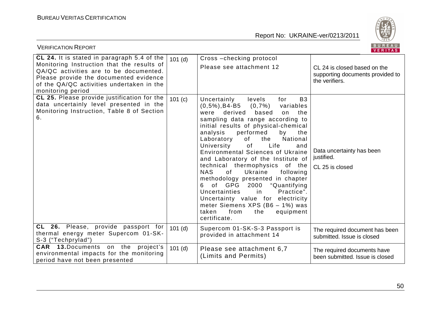

| BUREAU<br><b>VERIFICATION REPORT</b><br>VERITAS                                                                                                                                                                                                 |           |                                                                                                                                                                                                                                                                                                                                                                                                                                                                                                                                                                                                                                                                                                                                   |                                                                                    |
|-------------------------------------------------------------------------------------------------------------------------------------------------------------------------------------------------------------------------------------------------|-----------|-----------------------------------------------------------------------------------------------------------------------------------------------------------------------------------------------------------------------------------------------------------------------------------------------------------------------------------------------------------------------------------------------------------------------------------------------------------------------------------------------------------------------------------------------------------------------------------------------------------------------------------------------------------------------------------------------------------------------------------|------------------------------------------------------------------------------------|
| CL 24. It is stated in paragraph 5.4 of the<br>Monitoring Instruction that the results of<br>QA/QC activities are to be documented.<br>Please provide the documented evidence<br>of the QA/QC activities undertaken in the<br>monitoring period | 101(d)    | Cross-checking protocol<br>Please see attachment 12                                                                                                                                                                                                                                                                                                                                                                                                                                                                                                                                                                                                                                                                               | CL 24 is closed based on the<br>supporting documents provided to<br>the verifiers. |
| CL 25. Please provide justification for the<br>data uncertainly level presented in the<br>Monitoring Instruction, Table 8 of Section<br>6.                                                                                                      | 101 (c)   | Uncertainly<br><b>B3</b><br>levels<br>for<br>$(0,5\%)$ , B4-B5 $(0,7\%)$<br>variables<br>derived<br>the<br>were<br>based<br>on<br>sampling data range according to<br>initial results of physical-chemical<br>performed<br>analysis<br>by<br>the<br>Laboratory<br>National<br>of<br>the<br>of<br>Life<br>University<br>and<br><b>Environmental Sciences of Ukraine</b><br>and Laboratory of the Institute of<br>technical thermophysics of the<br><b>NAS</b><br>of<br>Ukraine<br>following<br>methodology presented in chapter<br>of GPG 2000 "Quantifying<br>6<br>in<br>Uncertainties<br>Practice".<br>Uncertainty value for electricity<br>meter Siemens XPS (B6 - 1%) was<br>from<br>equipment<br>taken<br>the<br>certificate. | Data uncertainty has been<br>justified.<br>CL 25 is closed                         |
| CL 26. Please, provide passport for<br>thermal energy meter Supercom 01-SK-<br>S-3 ("Techprylad")                                                                                                                                               | $101$ (d) | Supercom 01-SK-S-3 Passport is<br>provided in attachment 14                                                                                                                                                                                                                                                                                                                                                                                                                                                                                                                                                                                                                                                                       | The required document has been<br>submitted. Issue is closed                       |
| CAR 13. Documents on the project's<br>environmental impacts for the monitoring<br>period have not been presented                                                                                                                                | $101$ (d) | Please see attachment 6,7<br>(Limits and Permits)                                                                                                                                                                                                                                                                                                                                                                                                                                                                                                                                                                                                                                                                                 | The required documents have<br>been submitted. Issue is closed                     |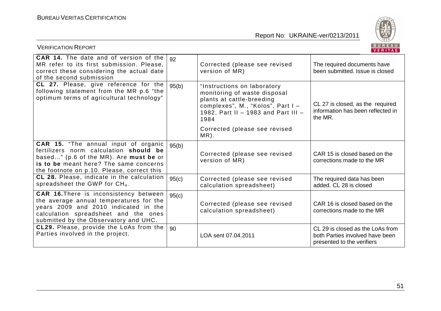

| <b>VERIFICATION REPORT</b>                                                                                                                                                                                              |       |                                                                                                                                                                              | BUREAU<br><b>VERITAS</b>                                                                          |
|-------------------------------------------------------------------------------------------------------------------------------------------------------------------------------------------------------------------------|-------|------------------------------------------------------------------------------------------------------------------------------------------------------------------------------|---------------------------------------------------------------------------------------------------|
| <b>CAR 14.</b> The date and of version of the<br>MR refer to its first submission. Please,<br>correct these considering the actual date<br>of the second submission                                                     | 92    | Corrected (please see revised<br>version of MR)                                                                                                                              | The required documents have<br>been submitted. Issue is closed                                    |
| CL 27. Please, give reference for the<br>following statement from the MR p.6 "the<br>optimum terms of agricultural technology"                                                                                          | 95(b) | "Instructions on laboratory<br>monitoring of waste disposal<br>plants at cattle-breeding<br>complexes", M., "Kolos", Part I -<br>1982, Part II - 1983 and Part III -<br>1984 | CL 27 is closed, as the required<br>information has been reflected in<br>the MR.                  |
|                                                                                                                                                                                                                         |       | Corrected (please see revised<br>$MR)$ .                                                                                                                                     |                                                                                                   |
| <b>CAR 15.</b> "The annual input of organic<br>fertilizers norm calculation should be<br>based" (p.6 of the MR). Are must be or<br>is to be meant here? The same concerns<br>the footnote on p.10. Please, correct this | 95(b) | Corrected (please see revised<br>version of MR)                                                                                                                              | CAR 15 is closed based on the<br>corrections made to the MR                                       |
| CL 28. Please, indicate in the calculation<br>spreadsheet the GWP for CH <sub>4</sub> .                                                                                                                                 | 95(c) | Corrected (please see revised<br>calculation spreadsheet)                                                                                                                    | The required data has been<br>added. CL 28 is closed                                              |
| <b>CAR 16. There is inconsistency between</b><br>the average annual temperatures for the<br>years 2009 and 2010 indicated in the<br>calculation spreadsheet and the ones<br>submitted by the Observatory and UHC.       | 95(c) | Corrected (please see revised<br>calculation spreadsheet)                                                                                                                    | CAR 16 is closed based on the<br>corrections made to the MR                                       |
| CL29. Please, provide the LoAs from the<br>Parties involved in the project.                                                                                                                                             | 90    | LOA sent 07.04.2011                                                                                                                                                          | CL 29 is closed as the LoAs from<br>both Parties involved have been<br>presented to the verifiers |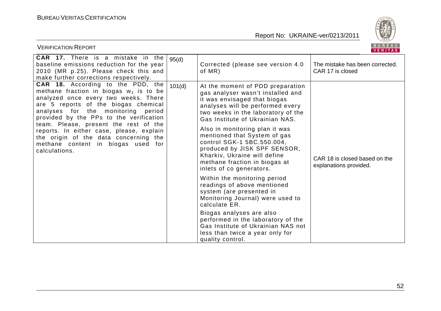VERIFICATION REPORT



| <b>CAR 17.</b> There is a mistake in the<br>baseline emissions reduction for the year<br>2010 (MR p.25). Please check this and<br>make further corrections respectively.                                                                                                                                                                                                                                                             | 95(d)  | Corrected (please see version 4.0<br>of MR)                                                                                                                                                                                                                                                                                                                                                                                                                                                                                                                                                                                                                                                                                                                    | The mistake has been corrected.<br>CAR 17 is closed     |
|--------------------------------------------------------------------------------------------------------------------------------------------------------------------------------------------------------------------------------------------------------------------------------------------------------------------------------------------------------------------------------------------------------------------------------------|--------|----------------------------------------------------------------------------------------------------------------------------------------------------------------------------------------------------------------------------------------------------------------------------------------------------------------------------------------------------------------------------------------------------------------------------------------------------------------------------------------------------------------------------------------------------------------------------------------------------------------------------------------------------------------------------------------------------------------------------------------------------------------|---------------------------------------------------------|
| CAR 18. According to the PDD, the<br>methane fraction in biogas $w_3$ is to be<br>analyzed once every two weeks. There<br>are 5 reports of the biogas chemical<br>analyses for the monitoring period<br>provided by the PPs to the verification<br>team. Please, present the rest of the<br>reports. In either case, please, explain<br>the origin of the data concerning the<br>methane content in biogas used for<br>calculations. | 101(d) | At the moment of PDD preparation<br>gas analyser wasn't installed and<br>it was envisaged that biogas<br>analyses will be performed every<br>two weeks in the laboratory of the<br>Gas Institute of Ukrainian NAS.<br>Also in monitoring plan it was<br>mentioned that System of gas<br>control SGK-1 5BC.550.004,<br>produced by JISK SPF SENSOR,<br>Kharkiv, Ukraine will define<br>methane fraction in biogas at<br>inlets of co generators.<br>Within the monitoring period<br>readings of above mentioned<br>system (are presented in<br>Monitoring Journal) were used to<br>calculate ER.<br>Biogas analyses are also<br>performed in the laboratory of the<br>Gas Institute of Ukrainian NAS not<br>less than twice a year only for<br>quality control. | CAR 18 is closed based on the<br>explanations provided. |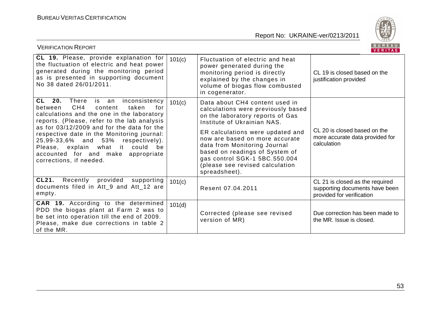

| <b>VERIFICATION REPORT</b>                                                                                                                                                                                                                                                                                                                                                                                                                     |        |                                                                                                                                                                                                                                                                                                                                                                      | B U K E A U<br><b>VERITAS</b>                                                                  |
|------------------------------------------------------------------------------------------------------------------------------------------------------------------------------------------------------------------------------------------------------------------------------------------------------------------------------------------------------------------------------------------------------------------------------------------------|--------|----------------------------------------------------------------------------------------------------------------------------------------------------------------------------------------------------------------------------------------------------------------------------------------------------------------------------------------------------------------------|------------------------------------------------------------------------------------------------|
| CL 19. Please, provide explanation for<br>the fluctuation of electric and heat power<br>generated during the monitoring period<br>as is presented in supporting document<br>No 38 dated 26/01/2011.                                                                                                                                                                                                                                            | 101(c) | Fluctuation of electric and heat<br>power generated during the<br>monitoring period is directly<br>explained by the changes in<br>volume of biogas flow combusted<br>in cogenerator.                                                                                                                                                                                 | CL 19 is closed based on the<br>justification provided                                         |
| CL 20.<br>inconsistency  <br>There<br>is an<br>CH <sub>4</sub><br>for<br>taken<br>between<br>content<br>calculations and the one in the laboratory<br>reports. (Please, refer to the lab analysis<br>as for 03/12/2009 and for the data for the<br>respective date in the Monitoring journal:<br>25,99-33,6% and 53%<br>respectively).<br>Please, explain what it<br>could be<br>accounted for and make appropriate<br>corrections, if needed. | 101(c) | Data about CH4 content used in<br>calculations were previously based<br>on the laboratory reports of Gas<br>Institute of Ukrainian NAS.<br>ER calculations were updated and<br>now are based on more accurate<br>data from Monitoring Journal<br>based on readings of System of<br>gas control SGK-1 5BC.550.004<br>(please see revised calculation<br>spreadsheet). | CL 20 is closed based on the<br>more accurate data provided for<br>calculation                 |
| <b>CL21.</b><br>provided<br>Recently<br>supporting<br>documents filed in Att_9 and Att_12 are<br>empty.                                                                                                                                                                                                                                                                                                                                        | 101(c) | Resent 07.04.2011                                                                                                                                                                                                                                                                                                                                                    | CL 21 is closed as the required<br>supporting documents have been<br>provided for verification |
| CAR 19. According to the determined<br>PDD the biogas plant at Farm 2 was to<br>be set into operation till the end of 2009.<br>Please, make due corrections in table 2<br>of the MR.                                                                                                                                                                                                                                                           | 101(d) | Corrected (please see revised<br>version of MR)                                                                                                                                                                                                                                                                                                                      | Due correction has been made to<br>the MR. Issue is closed.                                    |